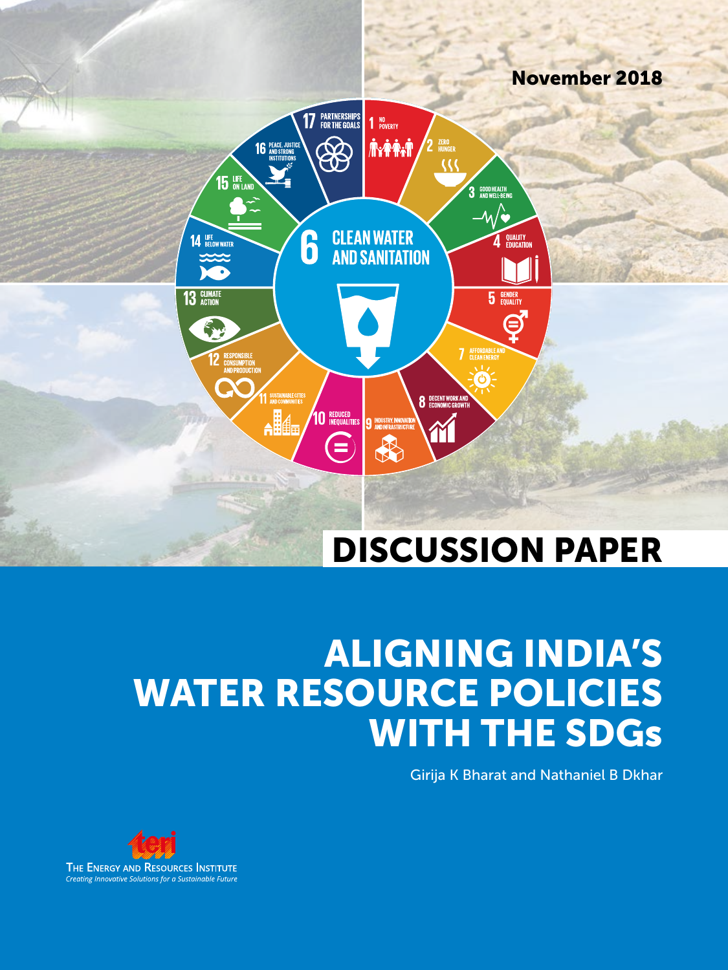

# ALIGNING INDIA'S WATER RESOURCE POLICIES WITH THE SDGs

Girija K Bharat and Nathaniel B Dkhar

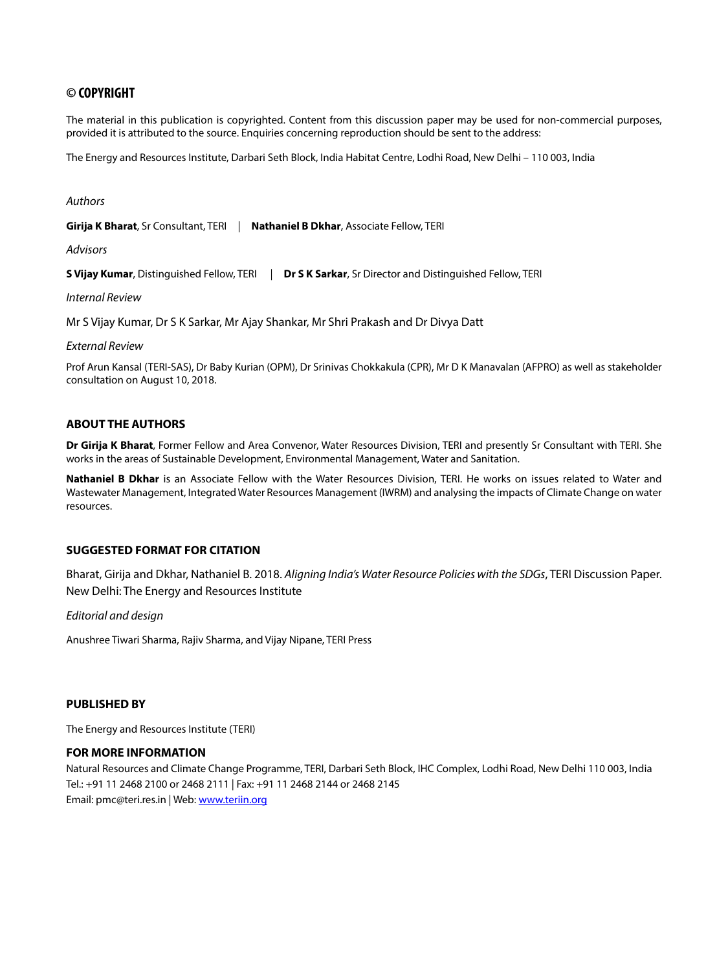## **© COPYRIGHT**

The material in this publication is copyrighted. Content from this discussion paper may be used for non-commercial purposes, provided it is attributed to the source. Enquiries concerning reproduction should be sent to the address:

The Energy and Resources Institute, Darbari Seth Block, India Habitat Centre, Lodhi Road, New Delhi – 110 003, India

*Authors*

**Girija K Bharat**, Sr Consultant, TERI | **Nathaniel B Dkhar**, Associate Fellow, TERI

*Advisors*

**S Vijay Kumar**, Distinguished Fellow, TERI | **Dr S K Sarkar**, Sr Director and Distinguished Fellow, TERI

*Internal Review*

Mr S Vijay Kumar, Dr S K Sarkar, Mr Ajay Shankar, Mr Shri Prakash and Dr Divya Datt

*External Review*

Prof Arun Kansal (TERI-SAS), Dr Baby Kurian (OPM), Dr Srinivas Chokkakula (CPR), Mr D K Manavalan (AFPRO) as well as stakeholder consultation on August 10, 2018.

#### **ABOUT THE AUTHORS**

**Dr Girija K Bharat**, Former Fellow and Area Convenor, Water Resources Division, TERI and presently Sr Consultant with TERI. She works in the areas of Sustainable Development, Environmental Management, Water and Sanitation.

**Nathaniel B Dkhar** is an Associate Fellow with the Water Resources Division, TERI. He works on issues related to Water and Wastewater Management, Integrated Water Resources Management (IWRM) and analysing the impacts of Climate Change on water resources.

#### **SUGGESTED FORMAT FOR CITATION**

Bharat, Girija and Dkhar, Nathaniel B. 2018. *Aligning India's Water Resource Policies with the SDGs*, TERI Discussion Paper. New Delhi: The Energy and Resources Institute

*Editorial and design*

Anushree Tiwari Sharma, Rajiv Sharma, and Vijay Nipane, TERI Press

#### **PUBLISHED BY**

The Energy and Resources Institute (TERI)

#### **FOR MORE INFORMATION**

Natural Resources and Climate Change Programme, TERI, Darbari Seth Block, IHC Complex, Lodhi Road, New Delhi 110 003, India Tel.: +91 11 2468 2100 or 2468 2111 | Fax: +91 11 2468 2144 or 2468 2145 Email: pmc@teri.res.in | Web: www.teriin.org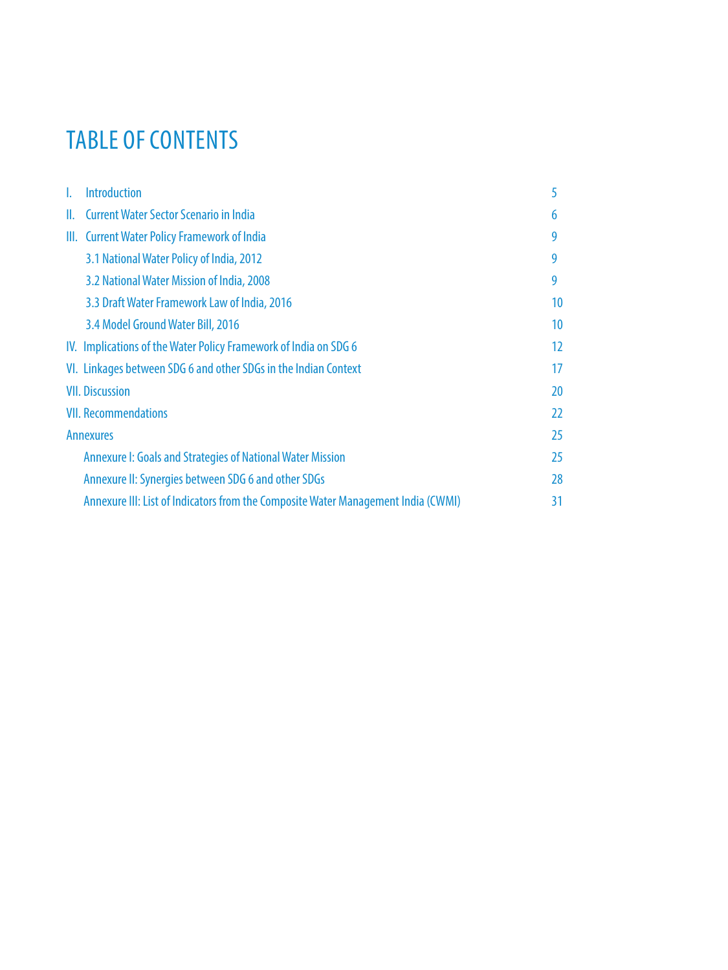## TABLE OF CONTENTS

| <b>Introduction</b><br>L.                                                         | 5                 |
|-----------------------------------------------------------------------------------|-------------------|
| <b>Current Water Sector Scenario in India</b><br>II.                              | 6                 |
| III. Current Water Policy Framework of India                                      | 9                 |
| 3.1 National Water Policy of India, 2012                                          | 9                 |
| 3.2 National Water Mission of India, 2008                                         | 9                 |
| 3.3 Draft Water Framework Law of India, 2016                                      | 10 <sup>°</sup>   |
| 3.4 Model Ground Water Bill, 2016                                                 | 10                |
| IV. Implications of the Water Policy Framework of India on SDG 6                  | $12 \overline{ }$ |
| VI. Linkages between SDG 6 and other SDGs in the Indian Context                   | 17                |
| <b>VII. Discussion</b>                                                            | 20                |
| <b>VII. Recommendations</b>                                                       | 22                |
| <b>Annexures</b>                                                                  | 25                |
| <b>Annexure I: Goals and Strategies of National Water Mission</b>                 | 25                |
| Annexure II: Synergies between SDG 6 and other SDGs                               | 28                |
| Annexure III: List of Indicators from the Composite Water Management India (CWMI) | 31                |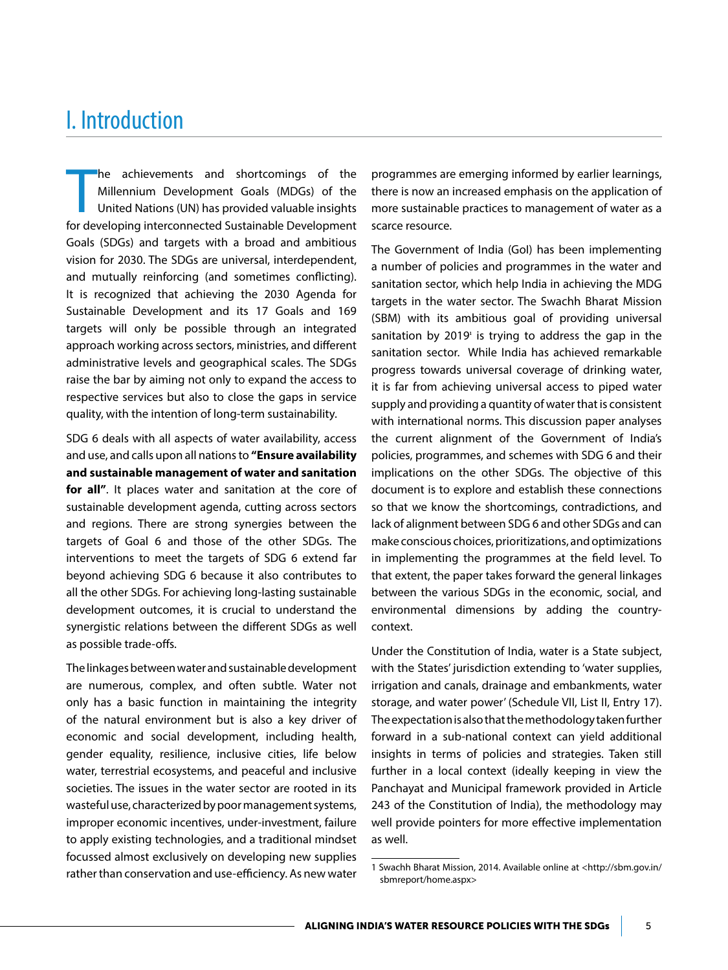## I. Introduction

 $\begin{array}{c} \hline \ \hline \ \hline \end{array}$ he achievements and shortcomings of the Millennium Development Goals (MDGs) of the United Nations (UN) has provided valuable insights for developing interconnected Sustainable Development Goals (SDGs) and targets with a broad and ambitious vision for 2030. The SDGs are universal, interdependent, and mutually reinforcing (and sometimes conflicting). It is recognized that achieving the 2030 Agenda for Sustainable Development and its 17 Goals and 169 targets will only be possible through an integrated approach working across sectors, ministries, and different administrative levels and geographical scales. The SDGs raise the bar by aiming not only to expand the access to respective services but also to close the gaps in service quality, with the intention of long-term sustainability.

SDG 6 deals with all aspects of water availability, access and use, and calls upon all nations to **"Ensure availability and sustainable management of water and sanitation for all"**. It places water and sanitation at the core of sustainable development agenda, cutting across sectors and regions. There are strong synergies between the targets of Goal 6 and those of the other SDGs. The interventions to meet the targets of SDG 6 extend far beyond achieving SDG 6 because it also contributes to all the other SDGs. For achieving long-lasting sustainable development outcomes, it is crucial to understand the synergistic relations between the different SDGs as well as possible trade-offs.

The linkages between water and sustainable development are numerous, complex, and often subtle. Water not only has a basic function in maintaining the integrity of the natural environment but is also a key driver of economic and social development, including health, gender equality, resilience, inclusive cities, life below water, terrestrial ecosystems, and peaceful and inclusive societies. The issues in the water sector are rooted in its wasteful use, characterized by poor management systems, improper economic incentives, under-investment, failure to apply existing technologies, and a traditional mindset focussed almost exclusively on developing new supplies rather than conservation and use-efficiency. As new water

programmes are emerging informed by earlier learnings, there is now an increased emphasis on the application of more sustainable practices to management of water as a scarce resource.

The Government of India (GoI) has been implementing a number of policies and programmes in the water and sanitation sector, which help India in achieving the MDG targets in the water sector. The Swachh Bharat Mission (SBM) with its ambitious goal of providing universal sanitation by  $2019<sup>i</sup>$  is trying to address the gap in the sanitation sector. While India has achieved remarkable progress towards universal coverage of drinking water, it is far from achieving universal access to piped water supply and providing a quantity of water that is consistent with international norms. This discussion paper analyses the current alignment of the Government of India's policies, programmes, and schemes with SDG 6 and their implications on the other SDGs. The objective of this document is to explore and establish these connections so that we know the shortcomings, contradictions, and lack of alignment between SDG 6 and other SDGs and can make conscious choices, prioritizations, and optimizations in implementing the programmes at the field level. To that extent, the paper takes forward the general linkages between the various SDGs in the economic, social, and environmental dimensions by adding the countrycontext.

Under the Constitution of India, water is a State subject, with the States' jurisdiction extending to 'water supplies, irrigation and canals, drainage and embankments, water storage, and water power' (Schedule VII, List II, Entry 17). The expectation is also that the methodology taken further forward in a sub-national context can yield additional insights in terms of policies and strategies. Taken still further in a local context (ideally keeping in view the Panchayat and Municipal framework provided in Article 243 of the Constitution of India), the methodology may well provide pointers for more effective implementation as well.

<sup>1</sup> Swachh Bharat Mission, 2014. Available online at <http://sbm.gov.in/ sbmreport/home.aspx>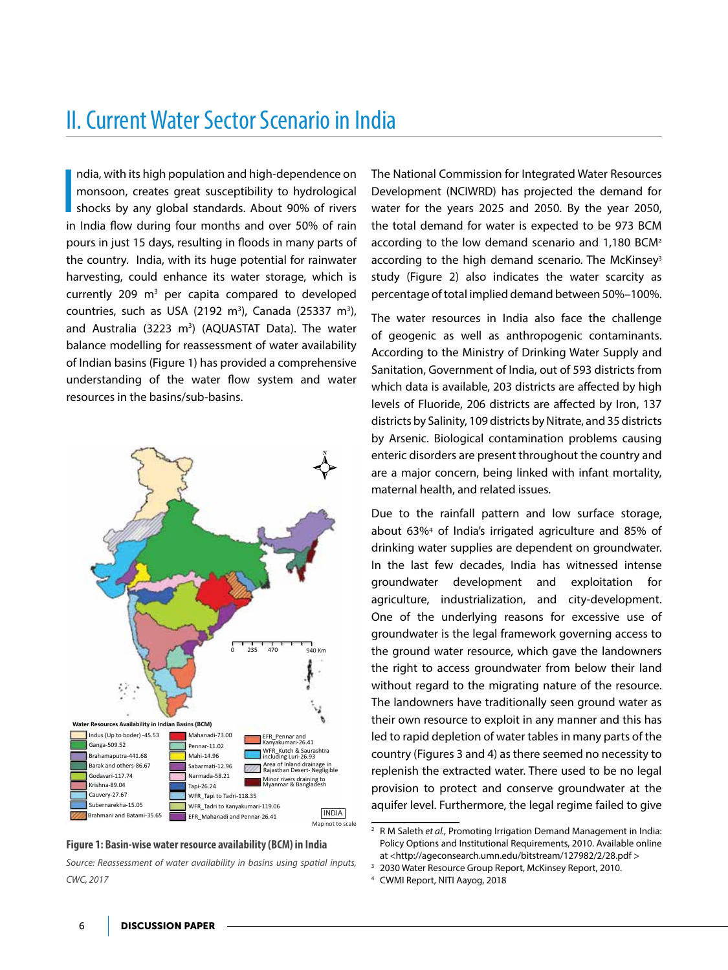## II. Current Water Sector Scenario in India

**I**<br>In ndia, with its high population and high-dependence on monsoon, creates great susceptibility to hydrological shocks by any global standards. About 90% of rivers in India flow during four months and over 50% of rain pours in just 15 days, resulting in floods in many parts of the country. India, with its huge potential for rainwater harvesting, could enhance its water storage, which is currently 209  $m<sup>3</sup>$  per capita compared to developed countries, such as USA (2192 m<sup>3</sup>), Canada (25337 m<sup>3</sup>), and Australia (3223 m<sup>3</sup>) (AQUASTAT Data). The water balance modelling for reassessment of water availability of Indian basins (Figure 1) has provided a comprehensive understanding of the water flow system and water resources in the basins/sub-basins.





*Source: Reassessment of water availability in basins using spatial inputs, CWC, 2017*

The National Commission for Integrated Water Resources Development (NCIWRD) has projected the demand for water for the years 2025 and 2050. By the year 2050, the total demand for water is expected to be 973 BCM according to the low demand scenario and 1,180 BCM<sup>2</sup> according to the high demand scenario. The McKinsey<sup>3</sup> study (Figure 2) also indicates the water scarcity as percentage of total implied demand between 50%–100%.

The water resources in India also face the challenge of geogenic as well as anthropogenic contaminants. According to the Ministry of Drinking Water Supply and Sanitation, Government of India, out of 593 districts from which data is available, 203 districts are affected by high levels of Fluoride, 206 districts are affected by Iron, 137 districts by Salinity, 109 districts by Nitrate, and 35 districts by Arsenic. Biological contamination problems causing enteric disorders are present throughout the country and are a major concern, being linked with infant mortality, maternal health, and related issues.

Due to the rainfall pattern and low surface storage, about 63%<sup>4</sup> of India's irrigated agriculture and 85% of drinking water supplies are dependent on groundwater. In the last few decades, India has witnessed intense groundwater development and exploitation for agriculture, industrialization, and city-development. One of the underlying reasons for excessive use of groundwater is the legal framework governing access to the ground water resource, which gave the landowners the right to access groundwater from below their land without regard to the migrating nature of the resource. The landowners have traditionally seen ground water as their own resource to exploit in any manner and this has led to rapid depletion of water tables in many parts of the country (Figures 3 and 4) as there seemed no necessity to replenish the extracted water. There used to be no legal provision to protect and conserve groundwater at the aquifer level. Furthermore, the legal regime failed to give

<sup>&</sup>lt;sup>2</sup> R M Saleth *et al.*, Promoting Irrigation Demand Management in India: Policy Options and Institutional Requirements, 2010. Available online at <http://ageconsearch.umn.edu/bitstream/127982/2/28.pdf >

<sup>3</sup> 2030 Water Resource Group Report, McKinsey Report, 2010.

<sup>4</sup> CWMI Report, NITI Aayog, 2018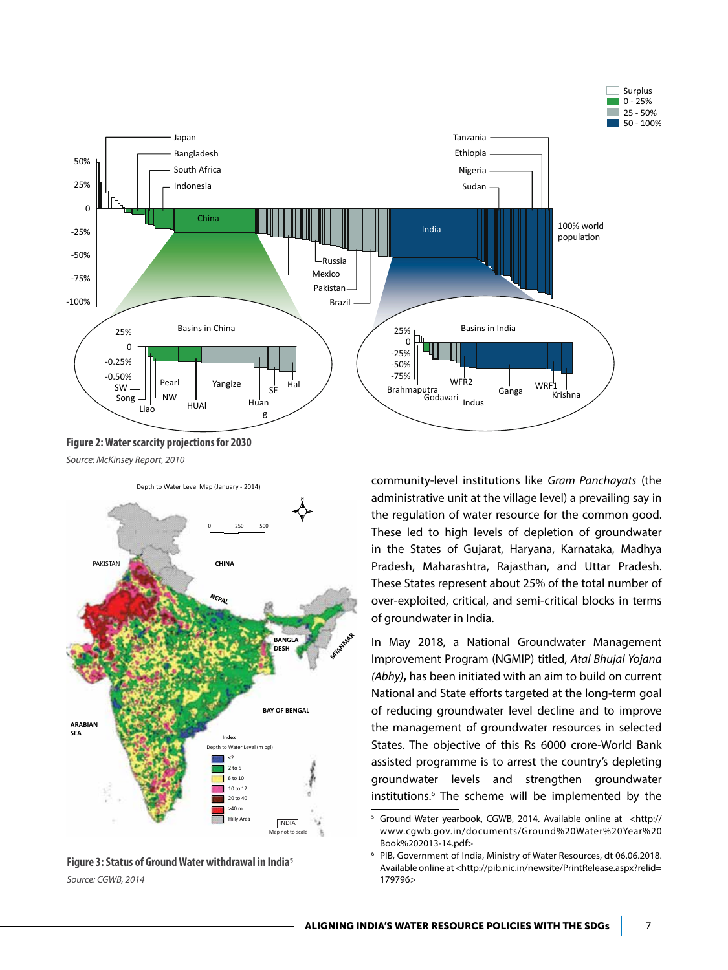



**Figure 2: Water scarcity projections for 2030** *Source: McKinsey Report, 2010*

Depth to Water Level Map (January - 2014)





community-level institutions like *Gram Panchayats* (the administrative unit at the village level) a prevailing say in the regulation of water resource for the common good. These led to high levels of depletion of groundwater in the States of Gujarat, Haryana, Karnataka, Madhya Pradesh, Maharashtra, Rajasthan, and Uttar Pradesh. These States represent about 25% of the total number of over-exploited, critical, and semi-critical blocks in terms of groundwater in India.

In May 2018, a National Groundwater Management Improvement Program (NGMIP) titled, *Atal Bhujal Yojana (Abhy)***,** has been initiated with an aim to build on current National and State efforts targeted at the long-term goal of reducing groundwater level decline and to improve the management of groundwater resources in selected States. The objective of this Rs 6000 crore-World Bank assisted programme is to arrest the country's depleting groundwater levels and strengthen groundwater institutions.<sup>6</sup> The scheme will be implemented by the

<sup>5</sup> Ground Water yearbook, CGWB, 2014. Available online at <http:// www.cgwb.gov.in/documents/Ground%20Water%20Year%20 Book%202013-14.pdf>

<sup>6</sup> PIB, Government of India, Ministry of Water Resources, dt 06.06.2018. Available online at <http://pib.nic.in/newsite/PrintRelease.aspx?relid= 179796>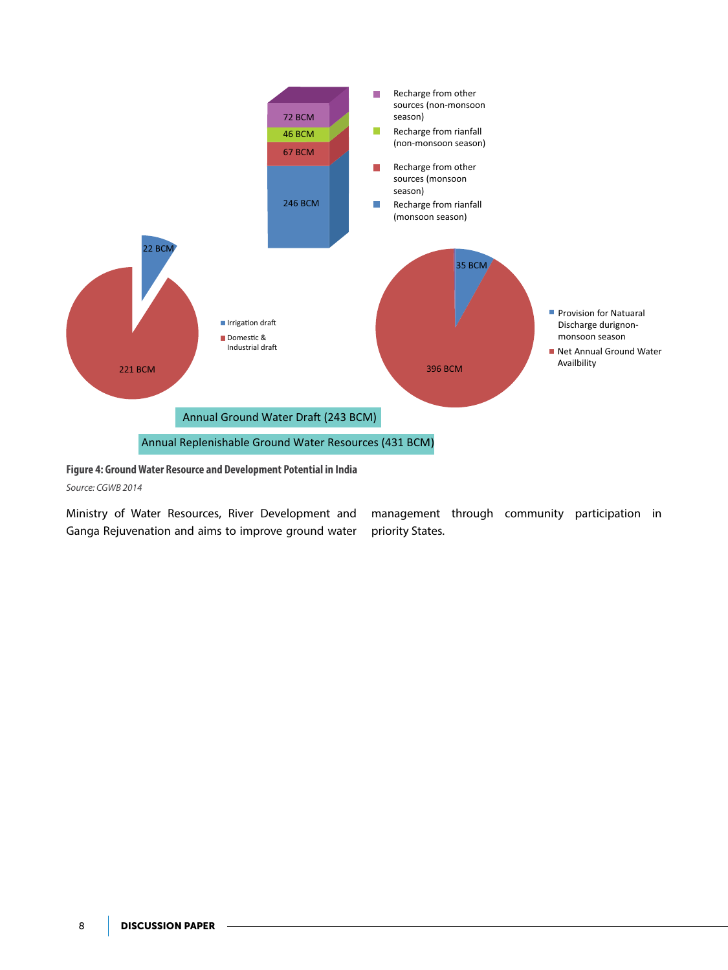

**Figure 4: Ground Water Resource and Development Potential in India**

*Source: CGWB 2014*

Ministry of Water Resources, River Development and Ganga Rejuvenation and aims to improve ground water

management through community participation in priority States.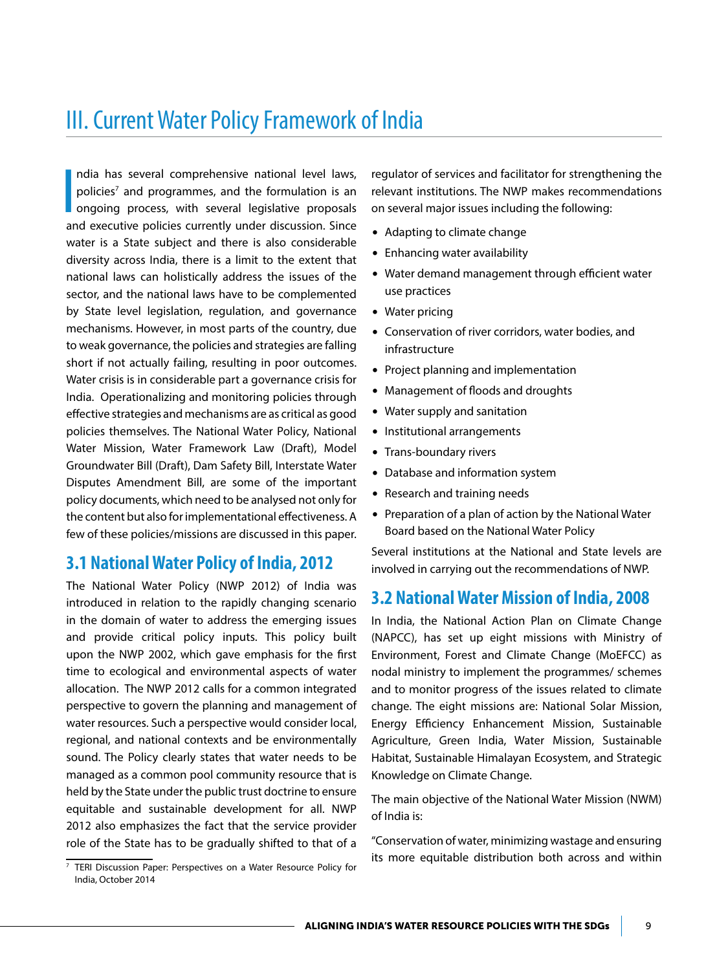## III. Current Water Policy Framework of India

**I** ndia has several comprehensive national level laws, policies<sup>7</sup> and programmes, and the formulation is an ongoing process, with several legislative proposals and executive policies currently under discussion. Since water is a State subject and there is also considerable diversity across India, there is a limit to the extent that national laws can holistically address the issues of the sector, and the national laws have to be complemented by State level legislation, regulation, and governance mechanisms. However, in most parts of the country, due to weak governance, the policies and strategies are falling short if not actually failing, resulting in poor outcomes. Water crisis is in considerable part a governance crisis for India. Operationalizing and monitoring policies through effective strategies and mechanisms are as critical as good policies themselves. The National Water Policy, National Water Mission, Water Framework Law (Draft), Model Groundwater Bill (Draft), Dam Safety Bill, Interstate Water Disputes Amendment Bill, are some of the important policy documents, which need to be analysed not only for the content but also for implementational effectiveness. A few of these policies/missions are discussed in this paper.

## **3.1 National Water Policy of India, 2012**

The National Water Policy (NWP 2012) of India was introduced in relation to the rapidly changing scenario in the domain of water to address the emerging issues and provide critical policy inputs. This policy built upon the NWP 2002, which gave emphasis for the first time to ecological and environmental aspects of water allocation. The NWP 2012 calls for a common integrated perspective to govern the planning and management of water resources. Such a perspective would consider local, regional, and national contexts and be environmentally sound. The Policy clearly states that water needs to be managed as a common pool community resource that is held by the State under the public trust doctrine to ensure equitable and sustainable development for all. NWP 2012 also emphasizes the fact that the service provider role of the State has to be gradually shifted to that of a

India, October 2014

regulator of services and facilitator for strengthening the relevant institutions. The NWP makes recommendations on several major issues including the following:

- Adapting to climate change
- Enhancing water availability
- Water demand management through efficient water use practices
- $\bullet$  Water pricing
- Conservation of river corridors, water bodies, and infrastructure
- Project planning and implementation
- Management of floods and droughts
- Water supply and sanitation
- Institutional arrangements
- Trans-boundary rivers
- Database and information system
- Research and training needs
- Preparation of a plan of action by the National Water Board based on the National Water Policy

Several institutions at the National and State levels are involved in carrying out the recommendations of NWP.

## **3.2 National Water Mission of India, 2008**

In India, the National Action Plan on Climate Change (NAPCC), has set up eight missions with Ministry of Environment, Forest and Climate Change (MoEFCC) as nodal ministry to implement the programmes/ schemes and to monitor progress of the issues related to climate change. The eight missions are: National Solar Mission, Energy Efficiency Enhancement Mission, Sustainable Agriculture, Green India, Water Mission, Sustainable Habitat, Sustainable Himalayan Ecosystem, and Strategic Knowledge on Climate Change.

The main objective of the National Water Mission (NWM) of India is:

"Conservation of water, minimizing wastage and ensuring its more equitable distribution both across and within 7 TERI Discussion Paper: Perspectives on a Water Resource Policy for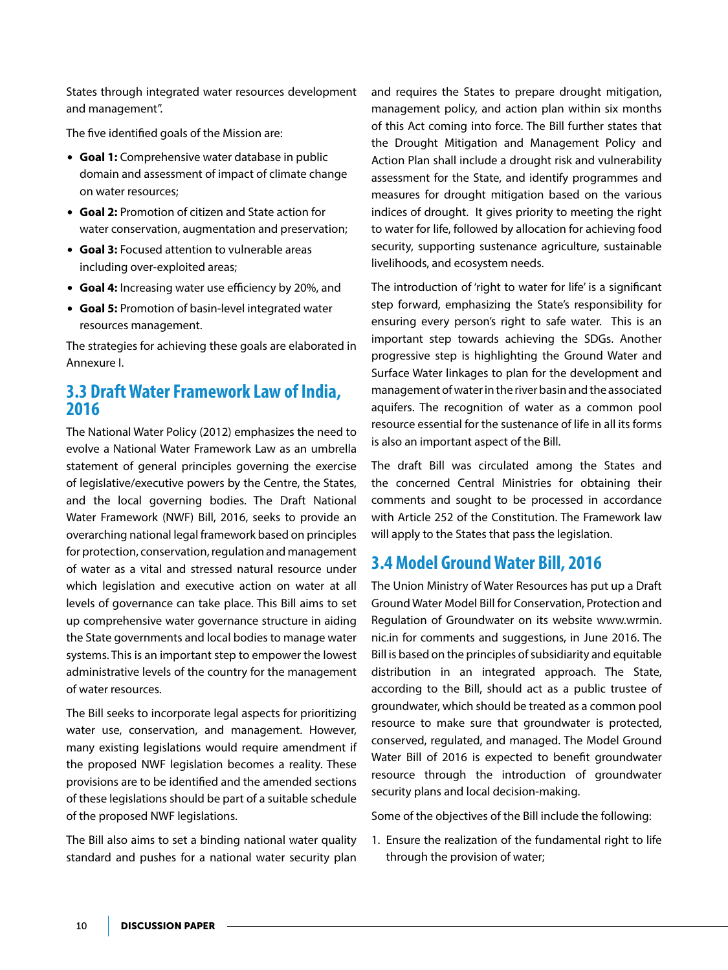States through integrated water resources development and management".

The five identified goals of the Mission are:

- **Goal 1:** Comprehensive water database in public domain and assessment of impact of climate change on water resources;
- **Goal 2:** Promotion of citizen and State action for water conservation, augmentation and preservation;
- **Goal 3:** Focused attention to vulnerable areas including over-exploited areas;
- **Goal 4:** Increasing water use efficiency by 20%, and
- **Goal 5:** Promotion of basin-level integrated water resources management.

The strategies for achieving these goals are elaborated in Annexure I.

## **3.3 Draft Water Framework Law of India, 2016**

The National Water Policy (2012) emphasizes the need to evolve a National Water Framework Law as an umbrella statement of general principles governing the exercise of legislative/executive powers by the Centre, the States, and the local governing bodies. The Draft National Water Framework (NWF) Bill, 2016, seeks to provide an overarching national legal framework based on principles for protection, conservation, regulation and management of water as a vital and stressed natural resource under which legislation and executive action on water at all levels of governance can take place. This Bill aims to set up comprehensive water governance structure in aiding the State governments and local bodies to manage water systems. This is an important step to empower the lowest administrative levels of the country for the management of water resources.

The Bill seeks to incorporate legal aspects for prioritizing water use, conservation, and management. However, many existing legislations would require amendment if the proposed NWF legislation becomes a reality. These provisions are to be identified and the amended sections of these legislations should be part of a suitable schedule of the proposed NWF legislations.

The Bill also aims to set a binding national water quality standard and pushes for a national water security plan and requires the States to prepare drought mitigation, management policy, and action plan within six months of this Act coming into force. The Bill further states that the Drought Mitigation and Management Policy and Action Plan shall include a drought risk and vulnerability assessment for the State, and identify programmes and measures for drought mitigation based on the various indices of drought. It gives priority to meeting the right to water for life, followed by allocation for achieving food security, supporting sustenance agriculture, sustainable livelihoods, and ecosystem needs.

The introduction of 'right to water for life' is a significant step forward, emphasizing the State's responsibility for ensuring every person's right to safe water. This is an important step towards achieving the SDGs. Another progressive step is highlighting the Ground Water and Surface Water linkages to plan for the development and management of water in the river basin and the associated aquifers. The recognition of water as a common pool resource essential for the sustenance of life in all its forms is also an important aspect of the Bill.

The draft Bill was circulated among the States and the concerned Central Ministries for obtaining their comments and sought to be processed in accordance with Article 252 of the Constitution. The Framework law will apply to the States that pass the legislation.

## **3.4 Model Ground Water Bill, 2016**

The Union Ministry of Water Resources has put up a Draft Ground Water Model Bill for Conservation, Protection and Regulation of Groundwater on its website www.wrmin. nic.in for comments and suggestions, in June 2016. The Bill is based on the principles of subsidiarity and equitable distribution in an integrated approach. The State, according to the Bill, should act as a public trustee of groundwater, which should be treated as a common pool resource to make sure that groundwater is protected, conserved, regulated, and managed. The Model Ground Water Bill of 2016 is expected to benefit groundwater resource through the introduction of groundwater security plans and local decision-making.

Some of the objectives of the Bill include the following:

1. Ensure the realization of the fundamental right to life through the provision of water;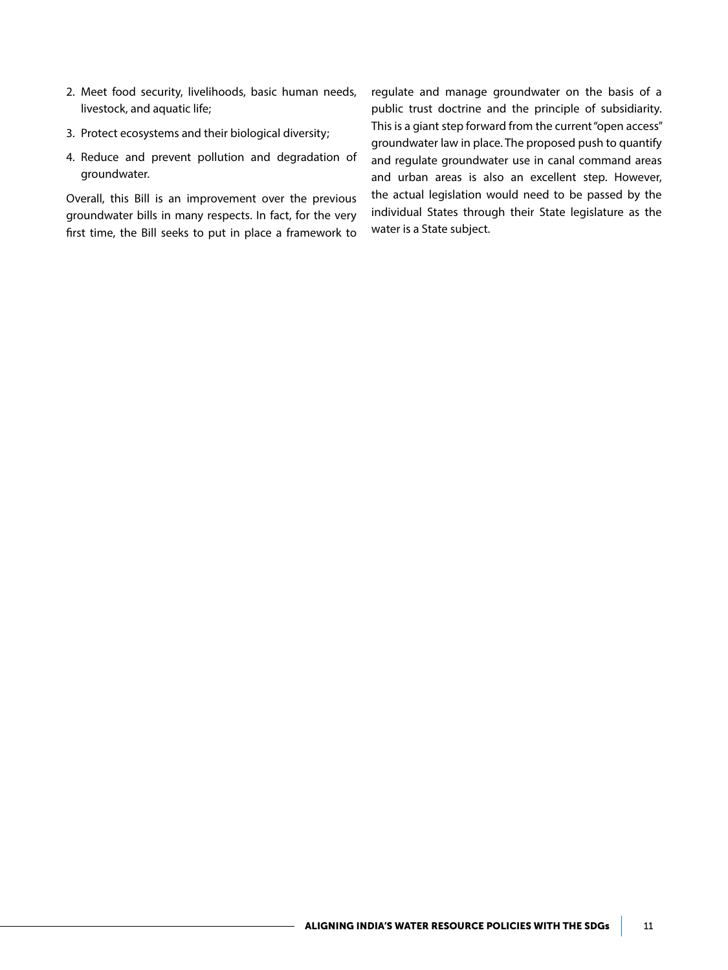- 2. Meet food security, livelihoods, basic human needs, livestock, and aquatic life;
- 3. Protect ecosystems and their biological diversity;
- 4. Reduce and prevent pollution and degradation of groundwater.

Overall, this Bill is an improvement over the previous groundwater bills in many respects. In fact, for the very first time, the Bill seeks to put in place a framework to

regulate and manage groundwater on the basis of a public trust doctrine and the principle of subsidiarity. This is a giant step forward from the current "open access" groundwater law in place. The proposed push to quantify and regulate groundwater use in canal command areas and urban areas is also an excellent step. However, the actual legislation would need to be passed by the individual States through their State legislature as the water is a State subject.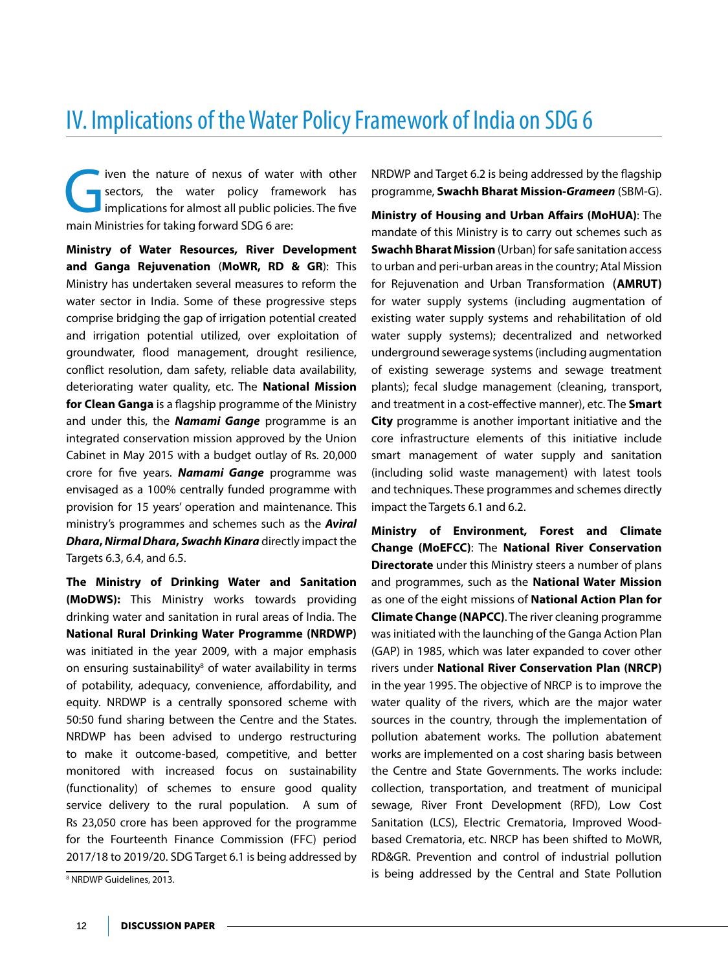## IV. Implications of the Water Policy Framework of India on SDG 6

iven the nature of nexus of water with other sectors, the water policy framework has implications for almost all public policies. The five main Ministries for taking forward SDG 6 are:

**Ministry of Water Resources, River Development and Ganga Rejuvenation** (**MoWR, RD & GR**): This Ministry has undertaken several measures to reform the water sector in India. Some of these progressive steps comprise bridging the gap of irrigation potential created and irrigation potential utilized, over exploitation of groundwater, flood management, drought resilience, conflict resolution, dam safety, reliable data availability, deteriorating water quality, etc. The **National Mission for Clean Ganga** is a flagship programme of the Ministry and under this, the *Namami Gange* programme is an integrated conservation mission approved by the Union Cabinet in May 2015 with a budget outlay of Rs. 20,000 crore for five years. *Namami Gange* programme was envisaged as a 100% centrally funded programme with provision for 15 years' operation and maintenance. This ministry's programmes and schemes such as the *Aviral Dhara***,** *Nirmal Dhara***,** *Swachh Kinara* directly impact the Targets 6.3, 6.4, and 6.5.

**The Ministry of Drinking Water and Sanitation (MoDWS):** This Ministry works towards providing drinking water and sanitation in rural areas of India. The **National Rural Drinking Water Programme (NRDWP)**  was initiated in the year 2009, with a major emphasis on ensuring sustainability<sup>8</sup> of water availability in terms of potability, adequacy, convenience, affordability, and equity. NRDWP is a centrally sponsored scheme with 50:50 fund sharing between the Centre and the States. NRDWP has been advised to undergo restructuring to make it outcome-based, competitive, and better monitored with increased focus on sustainability (functionality) of schemes to ensure good quality service delivery to the rural population. A sum of Rs 23,050 crore has been approved for the programme for the Fourteenth Finance Commission (FFC) period 2017/18 to 2019/20. SDG Target 6.1 is being addressed by

NRDWP and Target 6.2 is being addressed by the flagship programme, **Swachh Bharat Mission-***Grameen* (SBM-G).

**Ministry of Housing and Urban Affairs (MoHUA)**: The mandate of this Ministry is to carry out schemes such as **Swachh Bharat Mission** (Urban) for safe sanitation access to urban and peri-urban areas in the country; Atal Mission for Rejuvenation and Urban Transformation (**AMRUT)** for water supply systems (including augmentation of existing water supply systems and rehabilitation of old water supply systems); decentralized and networked underground sewerage systems (including augmentation of existing sewerage systems and sewage treatment plants); fecal sludge management (cleaning, transport, and treatment in a cost-effective manner), etc. The **Smart City** programme is another important initiative and the core infrastructure elements of this initiative include smart management of water supply and sanitation (including solid waste management) with latest tools and techniques. These programmes and schemes directly impact the Targets 6.1 and 6.2.

**Ministry of Environment, Forest and Climate Change (MoEFCC)**: The **National River Conservation Directorate** under this Ministry steers a number of plans and programmes, such as the **National Water Mission**  as one of the eight missions of **National Action Plan for Climate Change (NAPCC)**. The river cleaning programme was initiated with the launching of the Ganga Action Plan (GAP) in 1985, which was later expanded to cover other rivers under **National River Conservation Plan (NRCP)**  in the year 1995. The objective of NRCP is to improve the water quality of the rivers, which are the major water sources in the country, through the implementation of pollution abatement works. The pollution abatement works are implemented on a cost sharing basis between the Centre and State Governments. The works include: collection, transportation, and treatment of municipal sewage, River Front Development (RFD), Low Cost Sanitation (LCS), Electric Crematoria, Improved Woodbased Crematoria, etc. NRCP has been shifted to MoWR, RD&GR. Prevention and control of industrial pollution is being addressed by the Central and State Pollution

<sup>&</sup>lt;sup>8</sup> NRDWP Guidelines, 2013.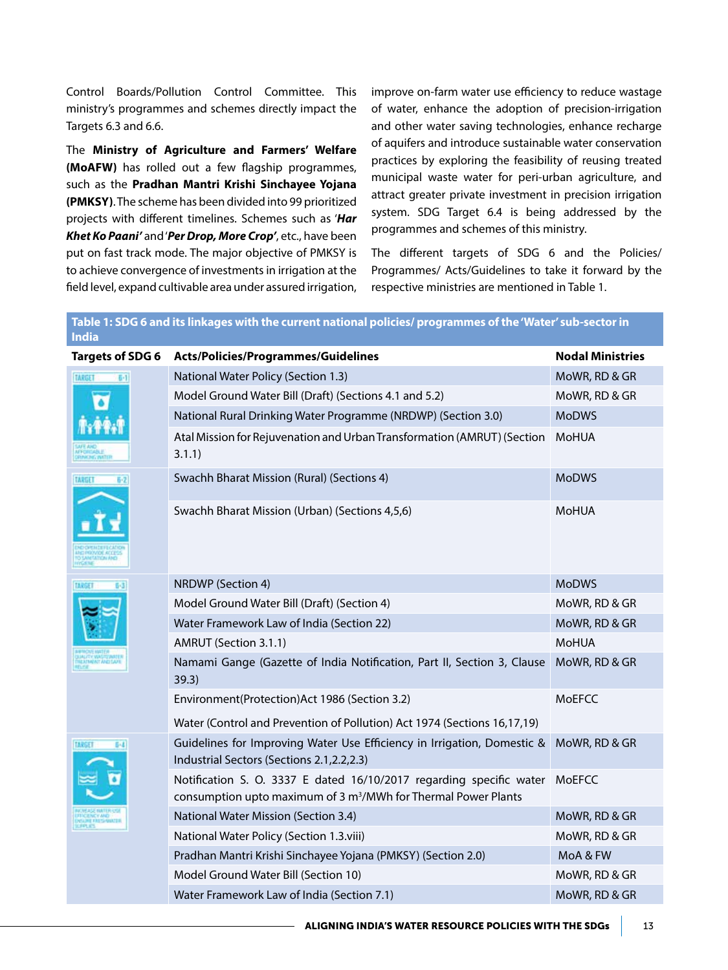Control Boards/Pollution Control Committee. This ministry's programmes and schemes directly impact the Targets 6.3 and 6.6.

The **Ministry of Agriculture and Farmers' Welfare (MoAFW)** has rolled out a few flagship programmes, such as the **Pradhan Mantri Krishi Sinchayee Yojana (PMKSY)**. The scheme has been divided into 99 prioritized projects with different timelines. Schemes such as '*Har Khet Ko Paani'* and '*Per Drop, More Crop'*, etc., have been put on fast track mode. The major objective of PMKSY is to achieve convergence of investments in irrigation at the field level, expand cultivable area under assured irrigation,

improve on-farm water use efficiency to reduce wastage of water, enhance the adoption of precision-irrigation and other water saving technologies, enhance recharge of aquifers and introduce sustainable water conservation practices by exploring the feasibility of reusing treated municipal waste water for peri-urban agriculture, and attract greater private investment in precision irrigation system. SDG Target 6.4 is being addressed by the programmes and schemes of this ministry.

The different targets of SDG 6 and the Policies/ Programmes/ Acts/Guidelines to take it forward by the respective ministries are mentioned in Table 1.

## **Table 1: SDG 6 and its linkages with the current national policies/ programmes of the 'Water' sub-sector in India Targets of SDG 6 Acts/Policies/Programmes/Guidelines Nodal Ministries** National Water Policy (Section 1.3) MoWR, RD & GR Model Ground Water Bill (Draft) (Sections 4.1 and 5.2) MOWR, RD & GR National Rural Drinking Water Programme (NRDWP) (Section 3.0) MoDWS Atal Mission for Rejuvenation and Urban Transformation (AMRUT) (Section MoHUA 3.1.1) Swachh Bharat Mission (Rural) (Sections 4) MoDWS Swachh Bharat Mission (Urban) (Sections 4,5,6) MOHUA NRDWP (Section 4) and the contract of the contract of the contract of the contract of the contract of the contract of the contract of the contract of the contract of the contract of the contract of the contract of the cont Model Ground Water Bill (Draft) (Section 4) Model Ground Water Bill (Draft) (Section 4) Water Framework Law of India (Section 22) Mowever, Mown, RD & GR AMRUT (Section 3.1.1) AMRUT (Section 3.1.1) Namami Gange (Gazette of India Notification, Part II, Section 3, Clause MoWR, RD & GR 39.3) Environment(Protection)Act 1986 (Section 3.2) Water (Control and Prevention of Pollution) Act 1974 (Sections 16,17,19) **MoEFCC** Guidelines for Improving Water Use Efficiency in Irrigation, Domestic & MoWR, RD & GR Industrial Sectors (Sections 2.1,2.2,2.3) Notification S. O. 3337 E dated 16/10/2017 regarding specific water MoEFCC consumption upto maximum of 3 m<sup>3</sup>/MWh for Thermal Power Plants National Water Mission (Section 3.4) MoWR, RD & GR National Water Policy (Section 1.3.viii) Mow Mow Mow Mow R, RD & GR Pradhan Mantri Krishi Sinchayee Yojana (PMKSY) (Section 2.0) MoA & FW Model Ground Water Bill (Section 10) Model Ground Water Bill (Section 10)

Water Framework Law of India (Section 7.1) MoWR, RD & GR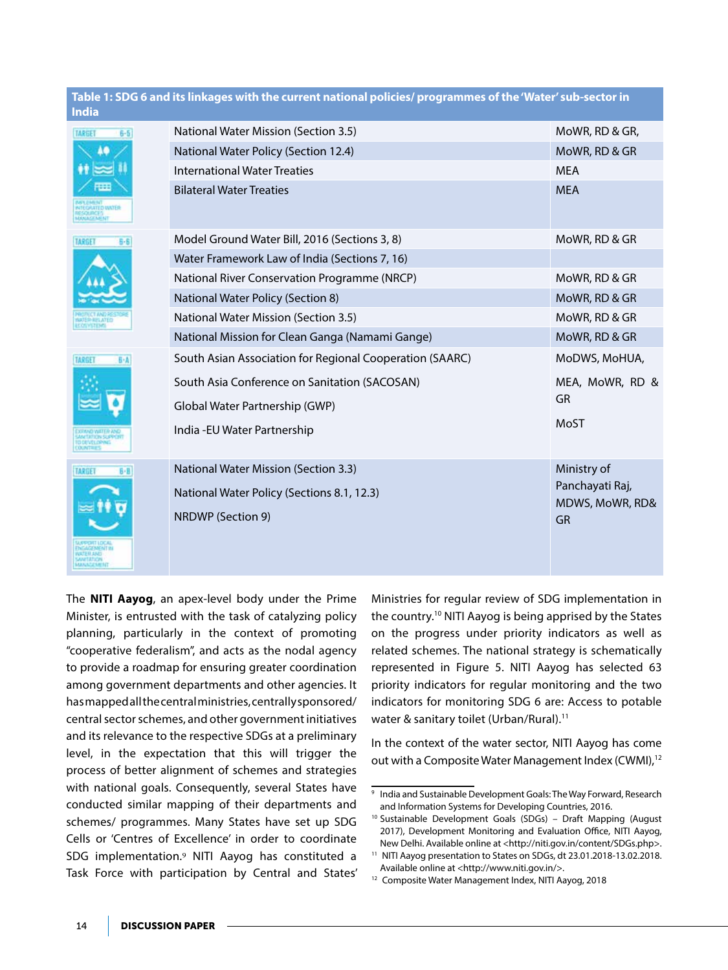| <b>India</b>             | Table 1: SDG 6 and its linkages with the current national policies/ programmes of the 'Water' sub-sector in |                 |
|--------------------------|-------------------------------------------------------------------------------------------------------------|-----------------|
| <b>TARGET</b><br>$6 - 5$ | National Water Mission (Section 3.5)                                                                        | MoWR, RD & GR,  |
| 40                       | National Water Policy (Section 12.4)                                                                        | MoWR, RD & GR   |
|                          | <b>International Water Treaties</b>                                                                         | <b>MEA</b>      |
| m                        | <b>Bilateral Water Treaties</b>                                                                             | <b>MEA</b>      |
| TARGET<br>6-6            | Model Ground Water Bill, 2016 (Sections 3, 8)                                                               | MoWR, RD & GR   |
|                          | Water Framework Law of India (Sections 7, 16)                                                               |                 |
|                          | National River Conservation Programme (NRCP)                                                                | MoWR, RD & GR   |
|                          | National Water Policy (Section 8)                                                                           | MoWR, RD & GR   |
|                          | <b>National Water Mission (Section 3.5)</b>                                                                 | MoWR, RD & GR   |
|                          | National Mission for Clean Ganga (Namami Gange)                                                             | MoWR, RD & GR   |
| 日本<br><b>TARGET</b>      | South Asian Association for Regional Cooperation (SAARC)                                                    | MoDWS, MoHUA,   |
|                          | South Asia Conference on Sanitation (SACOSAN)                                                               | MEA, MoWR, RD & |
|                          | Global Water Partnership (GWP)                                                                              | <b>GR</b>       |
|                          |                                                                                                             | MoST            |
|                          | India - EU Water Partnership                                                                                |                 |
| <b>TARGET</b><br>$B - B$ | <b>National Water Mission (Section 3.3)</b>                                                                 | Ministry of     |
|                          | National Water Policy (Sections 8.1, 12.3)                                                                  | Panchayati Raj, |
|                          |                                                                                                             | MDWS, MoWR, RD& |
|                          | <b>NRDWP</b> (Section 9)                                                                                    | GR              |
|                          |                                                                                                             |                 |

The **NITI Aayog**, an apex-level body under the Prime Minister, is entrusted with the task of catalyzing policy planning, particularly in the context of promoting "cooperative federalism", and acts as the nodal agency to provide a roadmap for ensuring greater coordination among government departments and other agencies. It has mapped all the central ministries, centrally sponsored/ central sector schemes, and other government initiatives and its relevance to the respective SDGs at a preliminary level, in the expectation that this will trigger the process of better alignment of schemes and strategies with national goals. Consequently, several States have conducted similar mapping of their departments and schemes/ programmes. Many States have set up SDG Cells or 'Centres of Excellence' in order to coordinate SDG implementation.<sup>9</sup> NITI Aayog has constituted a Task Force with participation by Central and States'

Ministries for regular review of SDG implementation in the country.10 NITI Aayog is being apprised by the States on the progress under priority indicators as well as related schemes. The national strategy is schematically represented in Figure 5. NITI Aayog has selected 63 priority indicators for regular monitoring and the two indicators for monitoring SDG 6 are: Access to potable water & sanitary toilet (Urban/Rural).<sup>11</sup>

In the context of the water sector, NITI Aayog has come out with a Composite Water Management Index (CWMI),<sup>12</sup>

нимально

<sup>9</sup> India and Sustainable Development Goals: The Way Forward, Research and Information Systems for Developing Countries, 2016.

<sup>10</sup> Sustainable Development Goals (SDGs) – Draft Mapping (August 2017), Development Monitoring and Evaluation Office, NITI Aayog, New Delhi. Available online at <http://niti.gov.in/content/SDGs.php>.

<sup>11</sup> NITI Aayog presentation to States on SDGs, dt 23.01.2018-13.02.2018. Available online at <http://www.niti.gov.in/>.

<sup>12</sup> Composite Water Management Index, NITI Aayog, 2018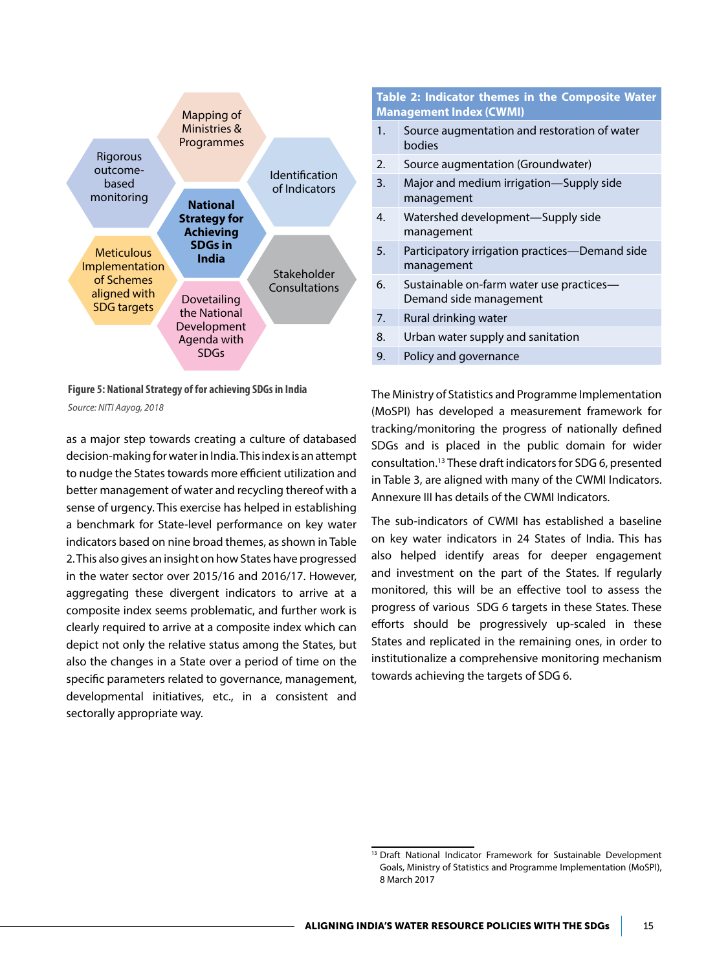

**Figure 5: National Strategy of for achieving SDGs in India** *Source: NITI Aayog, 2018*

as a major step towards creating a culture of databased decision-making for water in India. This index is an attempt to nudge the States towards more efficient utilization and better management of water and recycling thereof with a sense of urgency. This exercise has helped in establishing a benchmark for State-level performance on key water indicators based on nine broad themes, as shown in Table 2. This also gives an insight on how States have progressed in the water sector over 2015/16 and 2016/17. However, aggregating these divergent indicators to arrive at a composite index seems problematic, and further work is clearly required to arrive at a composite index which can depict not only the relative status among the States, but also the changes in a State over a period of time on the specific parameters related to governance, management, developmental initiatives, etc., in a consistent and sectorally appropriate way.

#### **Table 2: Indicator themes in the Composite Water Management Index (CWMI)**

- 1. Source augmentation and restoration of water bodies
- 2. Source augmentation (Groundwater)
- 3. Major and medium irrigation—Supply side management
- 4. Watershed development—Supply side management
- 5. Participatory irrigation practices—Demand side management
- 6. Sustainable on-farm water use practices— Demand side management
- 7. Rural drinking water
- 8. Urban water supply and sanitation
- 9. Policy and governance

The Ministry of Statistics and Programme Implementation (MoSPI) has developed a measurement framework for tracking/monitoring the progress of nationally defined SDGs and is placed in the public domain for wider consultation.13 These draft indicators for SDG 6, presented in Table 3, are aligned with many of the CWMI Indicators. Annexure III has details of the CWMI Indicators.

The sub-indicators of CWMI has established a baseline on key water indicators in 24 States of India. This has also helped identify areas for deeper engagement and investment on the part of the States. If regularly monitored, this will be an effective tool to assess the progress of various SDG 6 targets in these States. These efforts should be progressively up-scaled in these States and replicated in the remaining ones, in order to institutionalize a comprehensive monitoring mechanism towards achieving the targets of SDG 6.

<sup>&</sup>lt;sup>13</sup> Draft National Indicator Framework for Sustainable Development Goals, Ministry of Statistics and Programme Implementation (MoSPI), 8 March 2017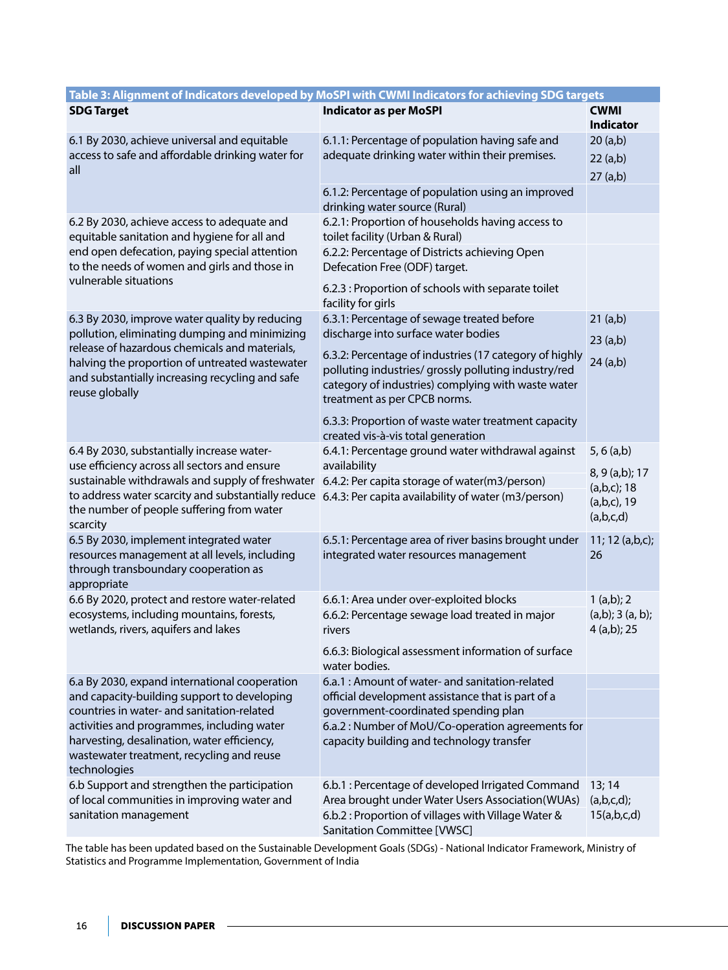|                                                                                                                                                                                                                                                               | Table 3: Alignment of Indicators developed by MoSPI with CWMI Indicators for achieving SDG targets                                                                                                   |                                                                              |
|---------------------------------------------------------------------------------------------------------------------------------------------------------------------------------------------------------------------------------------------------------------|------------------------------------------------------------------------------------------------------------------------------------------------------------------------------------------------------|------------------------------------------------------------------------------|
| <b>SDG Target</b>                                                                                                                                                                                                                                             | <b>Indicator as per MoSPI</b>                                                                                                                                                                        | <b>CWMI</b><br><b>Indicator</b>                                              |
| 6.1 By 2030, achieve universal and equitable<br>access to safe and affordable drinking water for<br>all                                                                                                                                                       | 6.1.1: Percentage of population having safe and<br>adequate drinking water within their premises.                                                                                                    | 20(a,b)<br>22 (a,b)<br>27 (a,b)                                              |
|                                                                                                                                                                                                                                                               | 6.1.2: Percentage of population using an improved<br>drinking water source (Rural)                                                                                                                   |                                                                              |
| 6.2 By 2030, achieve access to adequate and<br>equitable sanitation and hygiene for all and                                                                                                                                                                   | 6.2.1: Proportion of households having access to<br>toilet facility (Urban & Rural)                                                                                                                  |                                                                              |
| end open defecation, paying special attention<br>to the needs of women and girls and those in                                                                                                                                                                 | 6.2.2: Percentage of Districts achieving Open<br>Defecation Free (ODF) target.                                                                                                                       |                                                                              |
| vulnerable situations                                                                                                                                                                                                                                         | 6.2.3 : Proportion of schools with separate toilet<br>facility for girls                                                                                                                             |                                                                              |
| 6.3 By 2030, improve water quality by reducing<br>pollution, eliminating dumping and minimizing                                                                                                                                                               | 6.3.1: Percentage of sewage treated before<br>discharge into surface water bodies                                                                                                                    | 21 (a,b)<br>23(a,b)                                                          |
| release of hazardous chemicals and materials,<br>halving the proportion of untreated wastewater<br>and substantially increasing recycling and safe<br>reuse globally                                                                                          | 6.3.2: Percentage of industries (17 category of highly<br>polluting industries/ grossly polluting industry/red<br>category of industries) complying with waste water<br>treatment as per CPCB norms. | 24 (a,b)                                                                     |
|                                                                                                                                                                                                                                                               | 6.3.3: Proportion of waste water treatment capacity<br>created vis-à-vis total generation                                                                                                            |                                                                              |
| 6.4 By 2030, substantially increase water-<br>use efficiency across all sectors and ensure<br>sustainable withdrawals and supply of freshwater<br>to address water scarcity and substantially reduce<br>the number of people suffering from water<br>scarcity | 6.4.1: Percentage ground water withdrawal against<br>availability<br>6.4.2: Per capita storage of water(m3/person)<br>6.4.3: Per capita availability of water (m3/person)                            | $5, 6$ (a,b)<br>8, 9 (a,b); 17<br>(a,b,c); 18<br>$(a,b,c)$ , 19<br>(a,b,c,d) |
| 6.5 By 2030, implement integrated water<br>resources management at all levels, including<br>through transboundary cooperation as<br>appropriate                                                                                                               | 6.5.1: Percentage area of river basins brought under<br>integrated water resources management                                                                                                        | 11; 12 (a,b,c);<br>26                                                        |
| 6.6 By 2020, protect and restore water-related<br>ecosystems, including mountains, forests,<br>wetlands, rivers, aquifers and lakes                                                                                                                           | 6.6.1: Area under over-exploited blocks<br>6.6.2: Percentage sewage load treated in major<br>rivers                                                                                                  | 1(a,b); 2<br>(a,b); 3(a,b);<br>4 (a,b); 25                                   |
|                                                                                                                                                                                                                                                               | 6.6.3: Biological assessment information of surface<br>water bodies.                                                                                                                                 |                                                                              |
| 6.a By 2030, expand international cooperation<br>and capacity-building support to developing                                                                                                                                                                  | 6.a.1 : Amount of water- and sanitation-related<br>official development assistance that is part of a                                                                                                 |                                                                              |
| countries in water- and sanitation-related                                                                                                                                                                                                                    | government-coordinated spending plan                                                                                                                                                                 |                                                                              |
| activities and programmes, including water<br>harvesting, desalination, water efficiency,<br>wastewater treatment, recycling and reuse<br>technologies                                                                                                        | 6.a.2 : Number of MoU/Co-operation agreements for<br>capacity building and technology transfer                                                                                                       |                                                                              |
| 6.b Support and strengthen the participation<br>of local communities in improving water and<br>sanitation management                                                                                                                                          | 6.b.1 : Percentage of developed Irrigated Command<br>Area brought under Water Users Association(WUAs)<br>6.b.2 : Proportion of villages with Village Water &<br>Sanitation Committee [VWSC]          | 13; 14<br>(a,b,c,d);<br>15(a,b,c,d)                                          |

The table has been updated based on the Sustainable Development Goals (SDGs) - National Indicator Framework, Ministry of Statistics and Programme Implementation, Government of India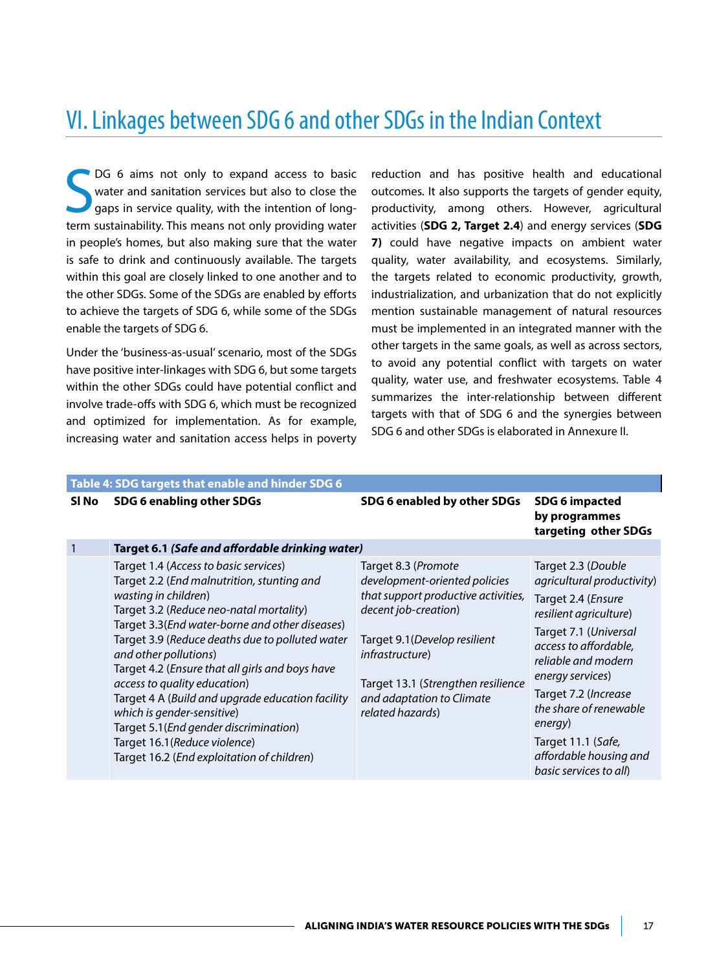## VI. Linkages between SDG 6 and other SDGs in the Indian Context

S DG 6 aims not only to expand access to basic water and sanitation services but also to close the gaps in service quality, with the intention of longterm sustainability. This means not only providing water in people's homes, but also making sure that the water is safe to drink and continuously available. The targets within this goal are closely linked to one another and to the other SDGs. Some of the SDGs are enabled by efforts to achieve the targets of SDG 6, while some of the SDGs enable the targets of SDG 6.

Under the 'business-as-usual' scenario, most of the SDGs have positive inter-linkages with SDG 6, but some targets within the other SDGs could have potential conflict and involve trade-offs with SDG 6, which must be recognized and optimized for implementation. As for example, increasing water and sanitation access helps in poverty reduction and has positive health and educational outcomes. It also supports the targets of gender equity, productivity, among others. However, agricultural activities (**SDG 2, Target 2.4**) and energy services (**SDG 7)** could have negative impacts on ambient water quality, water availability, and ecosystems. Similarly, the targets related to economic productivity, growth, industrialization, and urbanization that do not explicitly mention sustainable management of natural resources must be implemented in an integrated manner with the other targets in the same goals, as well as across sectors, to avoid any potential conflict with targets on water quality, water use, and freshwater ecosystems. Table 4 summarizes the inter-relationship between different targets with that of SDG 6 and the synergies between SDG 6 and other SDGs is elaborated in Annexure II.

|       | Table 4: SDG targets that enable and hinder SDG 6                                                                                                                                                                                                                                                                                                                                                                                                                                                                                                                                  |                                                                                                                                                                                                                                                                |                                                                                                                                                                                                                                                                                                                                              |
|-------|------------------------------------------------------------------------------------------------------------------------------------------------------------------------------------------------------------------------------------------------------------------------------------------------------------------------------------------------------------------------------------------------------------------------------------------------------------------------------------------------------------------------------------------------------------------------------------|----------------------------------------------------------------------------------------------------------------------------------------------------------------------------------------------------------------------------------------------------------------|----------------------------------------------------------------------------------------------------------------------------------------------------------------------------------------------------------------------------------------------------------------------------------------------------------------------------------------------|
| SI No | SDG 6 enabling other SDGs                                                                                                                                                                                                                                                                                                                                                                                                                                                                                                                                                          | SDG 6 enabled by other SDGs                                                                                                                                                                                                                                    | <b>SDG 6 impacted</b><br>by programmes<br>targeting other SDGs                                                                                                                                                                                                                                                                               |
| 1     | Target 6.1 (Safe and affordable drinking water)                                                                                                                                                                                                                                                                                                                                                                                                                                                                                                                                    |                                                                                                                                                                                                                                                                |                                                                                                                                                                                                                                                                                                                                              |
|       | Target 1.4 (Access to basic services)<br>Target 2.2 (End malnutrition, stunting and<br>wasting in children)<br>Target 3.2 (Reduce neo-natal mortality)<br>Target 3.3(End water-borne and other diseases)<br>Target 3.9 (Reduce deaths due to polluted water<br>and other pollutions)<br>Target 4.2 (Ensure that all girls and boys have<br>access to quality education)<br>Target 4 A (Build and upgrade education facility<br>which is gender-sensitive)<br>Target 5.1 (End gender discrimination)<br>Target 16.1 (Reduce violence)<br>Target 16.2 (End exploitation of children) | Target 8.3 (Promote<br>development-oriented policies<br>that support productive activities,<br>decent job-creation)<br>Target 9.1 (Develop resilient<br>infrastructure)<br>Target 13.1 (Strengthen resilience<br>and adaptation to Climate<br>related hazards) | Target 2.3 (Double<br>agricultural productivity)<br>Target 2.4 ( <i>Ensure</i><br>resilient agriculture)<br>Target 7.1 (Universal<br>access to affordable,<br>reliable and modern<br>energy services)<br>Target 7.2 (Increase<br>the share of renewable<br>energy)<br>Target 11.1 (Safe,<br>affordable housing and<br>basic services to all) |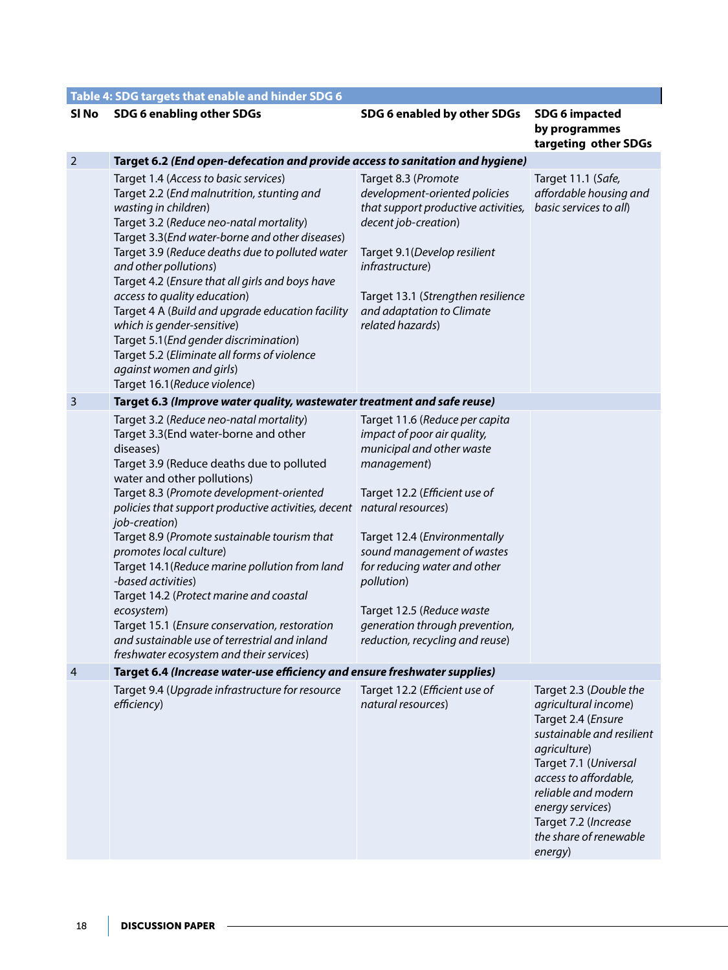|                         | Table 4: SDG targets that enable and hinder SDG 6                                                                                                                                                                                                                                                                                                                                                                                                                                                                                                                                                                                                                         |                                                                                                                                                                                                                                                                                                                                                          |                                                                                                                                                                                                                                                                             |
|-------------------------|---------------------------------------------------------------------------------------------------------------------------------------------------------------------------------------------------------------------------------------------------------------------------------------------------------------------------------------------------------------------------------------------------------------------------------------------------------------------------------------------------------------------------------------------------------------------------------------------------------------------------------------------------------------------------|----------------------------------------------------------------------------------------------------------------------------------------------------------------------------------------------------------------------------------------------------------------------------------------------------------------------------------------------------------|-----------------------------------------------------------------------------------------------------------------------------------------------------------------------------------------------------------------------------------------------------------------------------|
| SI No                   | SDG 6 enabling other SDGs                                                                                                                                                                                                                                                                                                                                                                                                                                                                                                                                                                                                                                                 | SDG 6 enabled by other SDGs                                                                                                                                                                                                                                                                                                                              | <b>SDG 6 impacted</b><br>by programmes<br>targeting other SDGs                                                                                                                                                                                                              |
| $\overline{2}$          | Target 6.2 (End open-defecation and provide access to sanitation and hygiene)                                                                                                                                                                                                                                                                                                                                                                                                                                                                                                                                                                                             |                                                                                                                                                                                                                                                                                                                                                          |                                                                                                                                                                                                                                                                             |
|                         | Target 1.4 (Access to basic services)<br>Target 2.2 (End malnutrition, stunting and<br>wasting in children)<br>Target 3.2 (Reduce neo-natal mortality)<br>Target 3.3(End water-borne and other diseases)<br>Target 3.9 (Reduce deaths due to polluted water<br>and other pollutions)<br>Target 4.2 (Ensure that all girls and boys have<br>access to quality education)<br>Target 4 A (Build and upgrade education facility<br>which is gender-sensitive)<br>Target 5.1 (End gender discrimination)<br>Target 5.2 (Eliminate all forms of violence<br>against women and girls)<br>Target 16.1 (Reduce violence)                                                           | Target 8.3 (Promote<br>development-oriented policies<br>that support productive activities,<br>decent job-creation)<br>Target 9.1 (Develop resilient<br>infrastructure)<br>Target 13.1 (Strengthen resilience<br>and adaptation to Climate<br>related hazards)                                                                                           | Target 11.1 (Safe,<br>affordable housing and<br>basic services to all)                                                                                                                                                                                                      |
| $\overline{\mathbf{3}}$ | Target 6.3 (Improve water quality, wastewater treatment and safe reuse)                                                                                                                                                                                                                                                                                                                                                                                                                                                                                                                                                                                                   |                                                                                                                                                                                                                                                                                                                                                          |                                                                                                                                                                                                                                                                             |
|                         | Target 3.2 (Reduce neo-natal mortality)<br>Target 3.3(End water-borne and other<br>diseases)<br>Target 3.9 (Reduce deaths due to polluted<br>water and other pollutions)<br>Target 8.3 (Promote development-oriented<br>policies that support productive activities, decent natural resources)<br>job-creation)<br>Target 8.9 (Promote sustainable tourism that<br>promotes local culture)<br>Target 14.1 (Reduce marine pollution from land<br>-based activities)<br>Target 14.2 (Protect marine and coastal<br>ecosystem)<br>Target 15.1 (Ensure conservation, restoration<br>and sustainable use of terrestrial and inland<br>freshwater ecosystem and their services) | Target 11.6 (Reduce per capita<br>impact of poor air quality,<br>municipal and other waste<br>management)<br>Target 12.2 (Efficient use of<br>Target 12.4 (Environmentally<br>sound management of wastes<br>for reducing water and other<br>pollution)<br>Target 12.5 (Reduce waste<br>generation through prevention,<br>reduction, recycling and reuse) |                                                                                                                                                                                                                                                                             |
| $\overline{4}$          | Target 6.4 (Increase water-use efficiency and ensure freshwater supplies)                                                                                                                                                                                                                                                                                                                                                                                                                                                                                                                                                                                                 |                                                                                                                                                                                                                                                                                                                                                          |                                                                                                                                                                                                                                                                             |
|                         | Target 9.4 (Upgrade infrastructure for resource<br>efficiency)                                                                                                                                                                                                                                                                                                                                                                                                                                                                                                                                                                                                            | Target 12.2 (Efficient use of<br>natural resources)                                                                                                                                                                                                                                                                                                      | Target 2.3 (Double the<br>agricultural income)<br>Target 2.4 (Ensure<br>sustainable and resilient<br>agriculture)<br>Target 7.1 (Universal<br>access to affordable,<br>reliable and modern<br>energy services)<br>Target 7.2 (Increase<br>the share of renewable<br>energy) |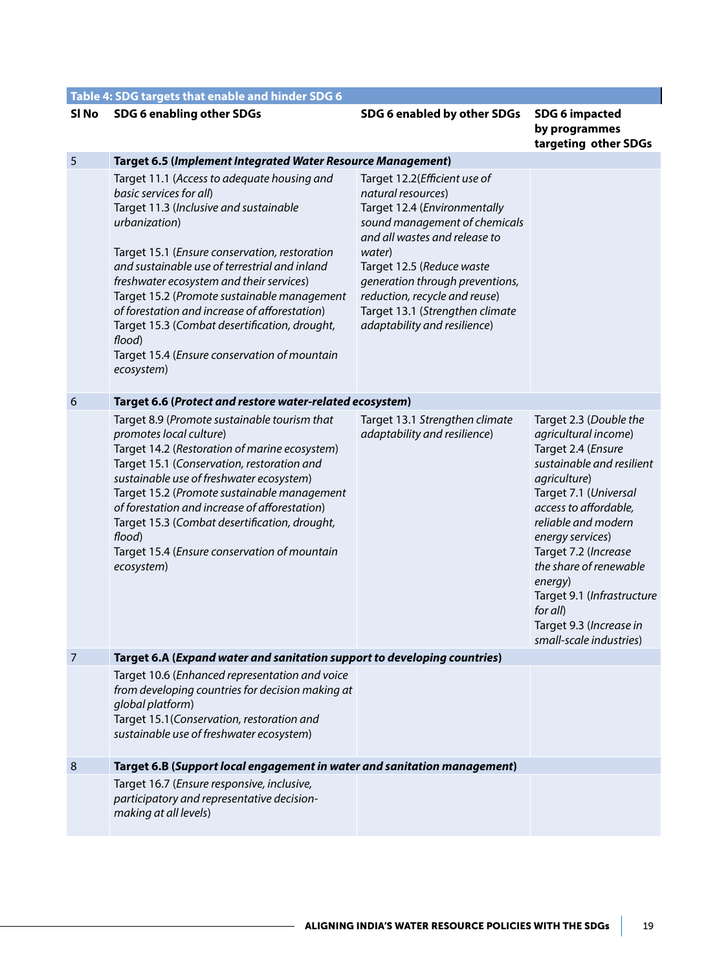|                  | Table 4: SDG targets that enable and hinder SDG 6                                                                                                                                                                                                                                                                                                                                                                                                                                                        |                                                                                                                                                                                                                                                                                                                                    |                                                                                                                                                                                                                                                                                                                                                                             |
|------------------|----------------------------------------------------------------------------------------------------------------------------------------------------------------------------------------------------------------------------------------------------------------------------------------------------------------------------------------------------------------------------------------------------------------------------------------------------------------------------------------------------------|------------------------------------------------------------------------------------------------------------------------------------------------------------------------------------------------------------------------------------------------------------------------------------------------------------------------------------|-----------------------------------------------------------------------------------------------------------------------------------------------------------------------------------------------------------------------------------------------------------------------------------------------------------------------------------------------------------------------------|
| SI No            | SDG 6 enabling other SDGs                                                                                                                                                                                                                                                                                                                                                                                                                                                                                | SDG 6 enabled by other SDGs                                                                                                                                                                                                                                                                                                        | <b>SDG 6 impacted</b><br>by programmes<br>targeting other SDGs                                                                                                                                                                                                                                                                                                              |
| 5                | <b>Target 6.5 (Implement Integrated Water Resource Management)</b>                                                                                                                                                                                                                                                                                                                                                                                                                                       |                                                                                                                                                                                                                                                                                                                                    |                                                                                                                                                                                                                                                                                                                                                                             |
|                  | Target 11.1 (Access to adequate housing and<br>basic services for all)<br>Target 11.3 (Inclusive and sustainable<br>urbanization)<br>Target 15.1 (Ensure conservation, restoration<br>and sustainable use of terrestrial and inland<br>freshwater ecosystem and their services)<br>Target 15.2 (Promote sustainable management<br>of forestation and increase of afforestation)<br>Target 15.3 (Combat desertification, drought,<br>flood)<br>Target 15.4 (Ensure conservation of mountain<br>ecosystem) | Target 12.2(Efficient use of<br>natural resources)<br>Target 12.4 (Environmentally<br>sound management of chemicals<br>and all wastes and release to<br>water)<br>Target 12.5 (Reduce waste<br>generation through preventions,<br>reduction, recycle and reuse)<br>Target 13.1 (Strengthen climate<br>adaptability and resilience) |                                                                                                                                                                                                                                                                                                                                                                             |
| $\boldsymbol{6}$ | Target 6.6 (Protect and restore water-related ecosystem)                                                                                                                                                                                                                                                                                                                                                                                                                                                 |                                                                                                                                                                                                                                                                                                                                    |                                                                                                                                                                                                                                                                                                                                                                             |
|                  | Target 8.9 (Promote sustainable tourism that<br>promotes local culture)<br>Target 14.2 (Restoration of marine ecosystem)<br>Target 15.1 (Conservation, restoration and<br>sustainable use of freshwater ecosystem)<br>Target 15.2 (Promote sustainable management<br>of forestation and increase of afforestation)<br>Target 15.3 (Combat desertification, drought,<br>flood)<br>Target 15.4 (Ensure conservation of mountain<br>ecosystem)                                                              | Target 13.1 Strengthen climate<br>adaptability and resilience)                                                                                                                                                                                                                                                                     | Target 2.3 (Double the<br>agricultural income)<br>Target 2.4 (Ensure<br>sustainable and resilient<br>agriculture)<br>Target 7.1 (Universal<br>access to affordable,<br>reliable and modern<br>energy services)<br>Target 7.2 (Increase<br>the share of renewable<br>energy)<br>Target 9.1 (Infrastructure<br>for all)<br>Target 9.3 (Increase in<br>small-scale industries) |
| 7                | Target 6.A (Expand water and sanitation support to developing countries)                                                                                                                                                                                                                                                                                                                                                                                                                                 |                                                                                                                                                                                                                                                                                                                                    |                                                                                                                                                                                                                                                                                                                                                                             |
|                  | Target 10.6 (Enhanced representation and voice<br>from developing countries for decision making at<br>global platform)<br>Target 15.1(Conservation, restoration and<br>sustainable use of freshwater ecosystem)                                                                                                                                                                                                                                                                                          |                                                                                                                                                                                                                                                                                                                                    |                                                                                                                                                                                                                                                                                                                                                                             |
| 8                | Target 6.B (Support local engagement in water and sanitation management)                                                                                                                                                                                                                                                                                                                                                                                                                                 |                                                                                                                                                                                                                                                                                                                                    |                                                                                                                                                                                                                                                                                                                                                                             |
|                  | Target 16.7 (Ensure responsive, inclusive,<br>participatory and representative decision-<br>making at all levels)                                                                                                                                                                                                                                                                                                                                                                                        |                                                                                                                                                                                                                                                                                                                                    |                                                                                                                                                                                                                                                                                                                                                                             |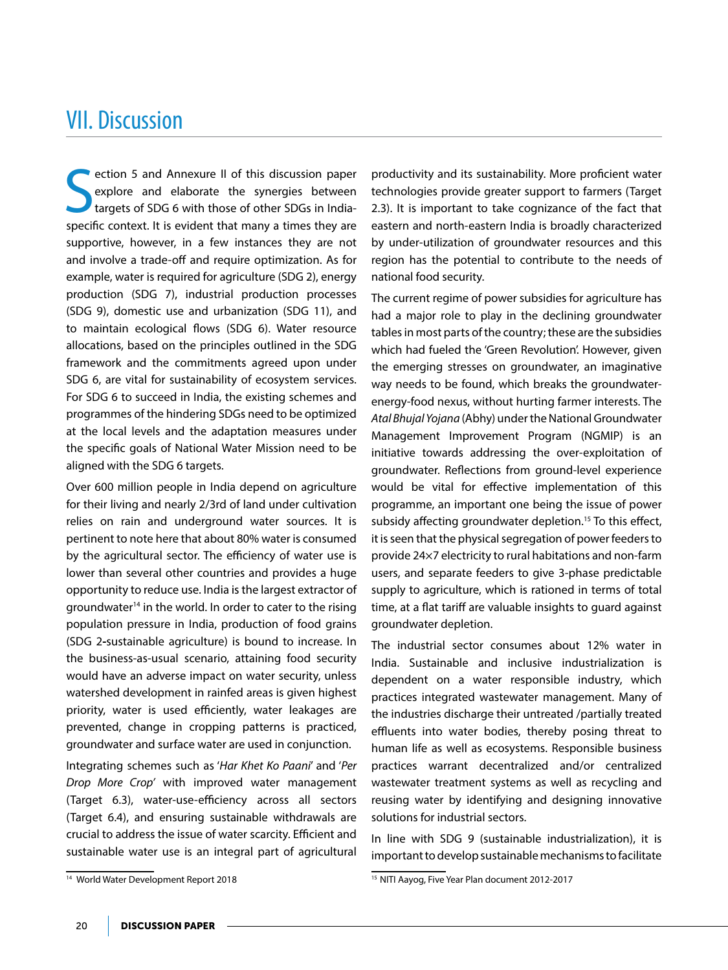## VII. Discussion

S ection 5 and Annexure II of this discussion paper explore and elaborate the synergies between targets of SDG 6 with those of other SDGs in Indiaspecific context. It is evident that many a times they are supportive, however, in a few instances they are not and involve a trade-off and require optimization. As for example, water is required for agriculture (SDG 2), energy production (SDG 7), industrial production processes (SDG 9), domestic use and urbanization (SDG 11), and to maintain ecological flows (SDG 6). Water resource allocations, based on the principles outlined in the SDG framework and the commitments agreed upon under SDG 6, are vital for sustainability of ecosystem services. For SDG 6 to succeed in India, the existing schemes and programmes of the hindering SDGs need to be optimized at the local levels and the adaptation measures under the specific goals of National Water Mission need to be aligned with the SDG 6 targets.

Over 600 million people in India depend on agriculture for their living and nearly 2/3rd of land under cultivation relies on rain and underground water sources. It is pertinent to note here that about 80% water is consumed by the agricultural sector. The efficiency of water use is lower than several other countries and provides a huge opportunity to reduce use. India is the largest extractor of groundwater<sup>14</sup> in the world. In order to cater to the rising population pressure in India, production of food grains (SDG 2**-**sustainable agriculture) is bound to increase. In the business-as-usual scenario, attaining food security would have an adverse impact on water security, unless watershed development in rainfed areas is given highest priority, water is used efficiently, water leakages are prevented, change in cropping patterns is practiced, groundwater and surface water are used in conjunction.

Integrating schemes such as '*Har Khet Ko Paani*' and '*Per Drop More Crop'* with improved water management (Target 6.3), water-use-efficiency across all sectors (Target 6.4), and ensuring sustainable withdrawals are crucial to address the issue of water scarcity. Efficient and sustainable water use is an integral part of agricultural

productivity and its sustainability. More proficient water technologies provide greater support to farmers (Target 2.3). It is important to take cognizance of the fact that eastern and north-eastern India is broadly characterized by under-utilization of groundwater resources and this region has the potential to contribute to the needs of national food security.

The current regime of power subsidies for agriculture has had a major role to play in the declining groundwater tables in most parts of the country; these are the subsidies which had fueled the 'Green Revolution'. However, given the emerging stresses on groundwater, an imaginative way needs to be found, which breaks the groundwaterenergy-food nexus, without hurting farmer interests. The Atal Bhujal Yojana (Abhy) under the National Groundwater Management Improvement Program (NGMIP) is an initiative towards addressing the over-exploitation of groundwater. Reflections from ground-level experience would be vital for effective implementation of this programme, an important one being the issue of power subsidy affecting groundwater depletion.<sup>15</sup> To this effect, it is seen that the physical segregation of power feeders to provide 24×7 electricity to rural habitations and non-farm users, and separate feeders to give 3-phase predictable supply to agriculture, which is rationed in terms of total time, at a flat tariff are valuable insights to guard against groundwater depletion.

The industrial sector consumes about 12% water in India. Sustainable and inclusive industrialization is dependent on a water responsible industry, which practices integrated wastewater management. Many of the industries discharge their untreated /partially treated effluents into water bodies, thereby posing threat to human life as well as ecosystems. Responsible business practices warrant decentralized and/or centralized wastewater treatment systems as well as recycling and reusing water by identifying and designing innovative solutions for industrial sectors.

In line with SDG 9 (sustainable industrialization), it is important to develop sustainable mechanisms to facilitate

<sup>&</sup>lt;sup>14</sup> World Water Development Report 2018 16 November 2012-2017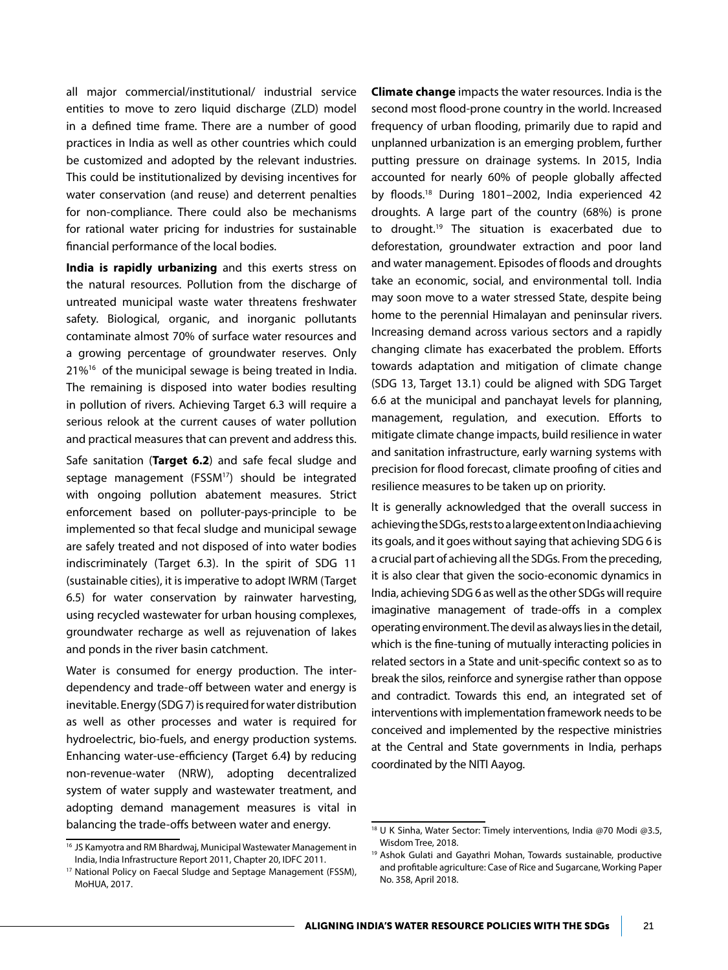all major commercial/institutional/ industrial service entities to move to zero liquid discharge (ZLD) model in a defined time frame. There are a number of good practices in India as well as other countries which could be customized and adopted by the relevant industries. This could be institutionalized by devising incentives for water conservation (and reuse) and deterrent penalties for non-compliance. There could also be mechanisms for rational water pricing for industries for sustainable financial performance of the local bodies.

**India is rapidly urbanizing** and this exerts stress on the natural resources. Pollution from the discharge of untreated municipal waste water threatens freshwater safety. Biological, organic, and inorganic pollutants contaminate almost 70% of surface water resources and a growing percentage of groundwater reserves. Only 21%<sup>16</sup> of the municipal sewage is being treated in India. The remaining is disposed into water bodies resulting in pollution of rivers. Achieving Target 6.3 will require a serious relook at the current causes of water pollution and practical measures that can prevent and address this.

Safe sanitation (**Target 6.2**) and safe fecal sludge and septage management (FSSM<sup>17</sup>) should be integrated with ongoing pollution abatement measures. Strict enforcement based on polluter-pays-principle to be implemented so that fecal sludge and municipal sewage are safely treated and not disposed of into water bodies indiscriminately (Target 6.3). In the spirit of SDG 11 (sustainable cities), it is imperative to adopt IWRM (Target 6.5) for water conservation by rainwater harvesting, using recycled wastewater for urban housing complexes, groundwater recharge as well as rejuvenation of lakes and ponds in the river basin catchment.

Water is consumed for energy production. The interdependency and trade-off between water and energy is inevitable. Energy (SDG 7) is required for water distribution as well as other processes and water is required for hydroelectric, bio-fuels, and energy production systems. Enhancing water-use-efficiency **(**Target 6.4**)** by reducing non-revenue-water (NRW), adopting decentralized system of water supply and wastewater treatment, and adopting demand management measures is vital in balancing the trade-offs between water and energy.

**Climate change** impacts the water resources. India is the second most flood-prone country in the world. Increased frequency of urban flooding, primarily due to rapid and unplanned urbanization is an emerging problem, further putting pressure on drainage systems. In 2015, India accounted for nearly 60% of people globally affected by floods.18 During 1801–2002, India experienced 42 droughts. A large part of the country (68%) is prone to drought.19 The situation is exacerbated due to deforestation, groundwater extraction and poor land and water management. Episodes of floods and droughts take an economic, social, and environmental toll. India may soon move to a water stressed State, despite being home to the perennial Himalayan and peninsular rivers. Increasing demand across various sectors and a rapidly changing climate has exacerbated the problem. Efforts towards adaptation and mitigation of climate change (SDG 13, Target 13.1) could be aligned with SDG Target 6.6 at the municipal and panchayat levels for planning, management, regulation, and execution. Efforts to mitigate climate change impacts, build resilience in water and sanitation infrastructure, early warning systems with precision for flood forecast, climate proofing of cities and resilience measures to be taken up on priority.

It is generally acknowledged that the overall success in achieving the SDGs, rests to a large extent on India achieving its goals, and it goes without saying that achieving SDG 6 is a crucial part of achieving all the SDGs. From the preceding, it is also clear that given the socio-economic dynamics in India, achieving SDG 6 as well as the other SDGs will require imaginative management of trade-offs in a complex operating environment. The devil as always lies in the detail, which is the fine-tuning of mutually interacting policies in related sectors in a State and unit-specific context so as to break the silos, reinforce and synergise rather than oppose and contradict. Towards this end, an integrated set of interventions with implementation framework needs to be conceived and implemented by the respective ministries at the Central and State governments in India, perhaps coordinated by the NITI Aayog.

<sup>&</sup>lt;sup>16</sup> JS Kamyotra and RM Bhardwaj, Municipal Wastewater Management in India, India Infrastructure Report 2011, Chapter 20, IDFC 2011.

<sup>17</sup> National Policy on Faecal Sludge and Septage Management (FSSM), MoHUA, 2017.

<sup>18</sup> U K Sinha, Water Sector: Timely interventions, India @70 Modi @3.5, Wisdom Tree, 2018.

<sup>&</sup>lt;sup>19</sup> Ashok Gulati and Gayathri Mohan, Towards sustainable, productive and profitable agriculture: Case of Rice and Sugarcane, Working Paper No. 358, April 2018.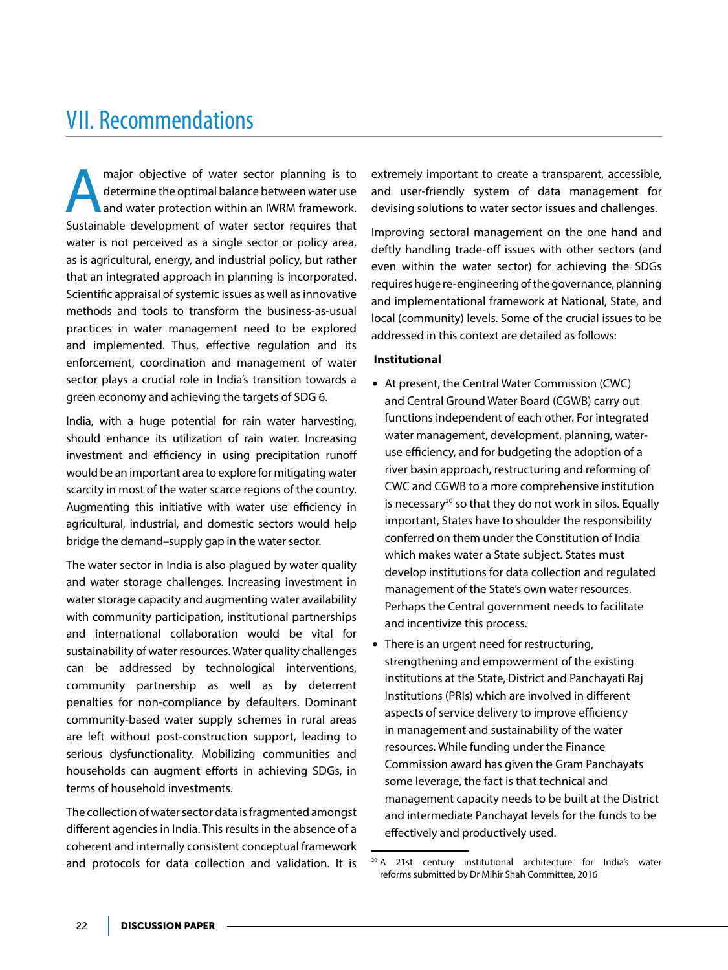## VII. Recommendations

major objective of water sector planning is to<br>determine the optimal balance between water use<br>and water protection within an IWRM framework.<br>Surtainable development of water sector requires that determine the optimal balance between water use and water protection within an IWRM framework. Sustainable development of water sector requires that water is not perceived as a single sector or policy area, as is agricultural, energy, and industrial policy, but rather that an integrated approach in planning is incorporated. Scientific appraisal of systemic issues as well as innovative methods and tools to transform the business-as-usual practices in water management need to be explored and implemented. Thus, effective regulation and its enforcement, coordination and management of water sector plays a crucial role in India's transition towards a green economy and achieving the targets of SDG 6.

India, with a huge potential for rain water harvesting, should enhance its utilization of rain water. Increasing investment and efficiency in using precipitation runoff would be an important area to explore for mitigating water scarcity in most of the water scarce regions of the country. Augmenting this initiative with water use efficiency in agricultural, industrial, and domestic sectors would help bridge the demand–supply gap in the water sector.

The water sector in India is also plagued by water quality and water storage challenges. Increasing investment in water storage capacity and augmenting water availability with community participation, institutional partnerships and international collaboration would be vital for sustainability of water resources. Water quality challenges can be addressed by technological interventions, community partnership as well as by deterrent penalties for non-compliance by defaulters. Dominant community-based water supply schemes in rural areas are left without post-construction support, leading to serious dysfunctionality. Mobilizing communities and households can augment efforts in achieving SDGs, in terms of household investments.

The collection of water sector data is fragmented amongst different agencies in India. This results in the absence of a coherent and internally consistent conceptual framework and protocols for data collection and validation. It is extremely important to create a transparent, accessible, and user-friendly system of data management for devising solutions to water sector issues and challenges.

Improving sectoral management on the one hand and deftly handling trade-off issues with other sectors (and even within the water sector) for achieving the SDGs requires huge re-engineering of the governance, planning and implementational framework at National, State, and local (community) levels. Some of the crucial issues to be addressed in this context are detailed as follows:

### **Institutional**

- At present, the Central Water Commission (CWC) and Central Ground Water Board (CGWB) carry out functions independent of each other. For integrated water management, development, planning, wateruse efficiency, and for budgeting the adoption of a river basin approach, restructuring and reforming of CWC and CGWB to a more comprehensive institution is necessary<sup>20</sup> so that they do not work in silos. Equally important, States have to shoulder the responsibility conferred on them under the Constitution of India which makes water a State subject. States must develop institutions for data collection and regulated management of the State's own water resources. Perhaps the Central government needs to facilitate and incentivize this process.
- There is an urgent need for restructuring, strengthening and empowerment of the existing institutions at the State, District and Panchayati Raj Institutions (PRIs) which are involved in different aspects of service delivery to improve efficiency in management and sustainability of the water resources. While funding under the Finance Commission award has given the Gram Panchayats some leverage, the fact is that technical and management capacity needs to be built at the District and intermediate Panchayat levels for the funds to be effectively and productively used.

<sup>&</sup>lt;sup>20</sup> A 21st century institutional architecture for India's water reforms submitted by Dr Mihir Shah Committee, 2016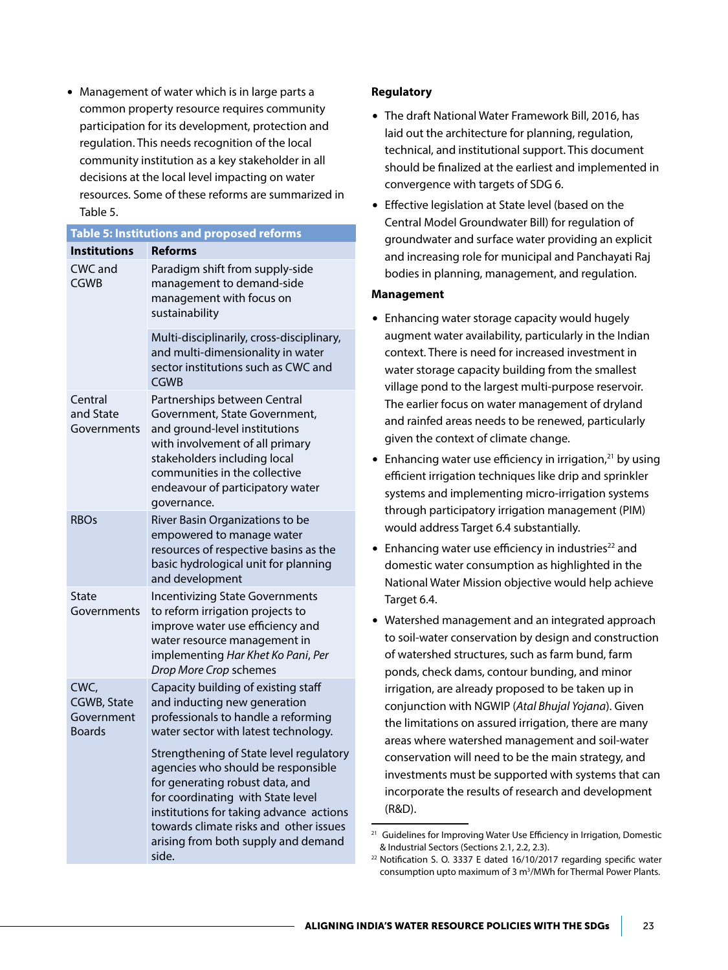$\bullet$  Management of water which is in large parts a common property resource requires community participation for its development, protection and regulation. This needs recognition of the local community institution as a key stakeholder in all decisions at the local level impacting on water resources. Some of these reforms are summarized in Table 5.

|                                                    | Table 5: Institutions and proposed reforms                                                                                                                                                                                                                                                 |
|----------------------------------------------------|--------------------------------------------------------------------------------------------------------------------------------------------------------------------------------------------------------------------------------------------------------------------------------------------|
| <b>Institutions</b>                                | <b>Reforms</b>                                                                                                                                                                                                                                                                             |
| CWC and<br><b>CGWB</b>                             | Paradigm shift from supply-side<br>management to demand-side<br>management with focus on<br>sustainability                                                                                                                                                                                 |
|                                                    | Multi-disciplinarily, cross-disciplinary,<br>and multi-dimensionality in water<br>sector institutions such as CWC and<br><b>CGWB</b>                                                                                                                                                       |
| Central<br>and State<br>Governments                | Partnerships between Central<br>Government, State Government,<br>and ground-level institutions<br>with involvement of all primary<br>stakeholders including local<br>communities in the collective<br>endeavour of participatory water<br>governance.                                      |
| <b>RBOs</b>                                        | River Basin Organizations to be<br>empowered to manage water<br>resources of respective basins as the<br>basic hydrological unit for planning<br>and development                                                                                                                           |
| State<br>Governments                               | <b>Incentivizing State Governments</b><br>to reform irrigation projects to<br>improve water use efficiency and<br>water resource management in<br>implementing Har Khet Ko Pani, Per<br>Drop More Crop schemes                                                                             |
| CWC.<br>CGWB, State<br>Government<br><b>Boards</b> | Capacity building of existing staff<br>and inducting new generation<br>professionals to handle a reforming<br>water sector with latest technology.                                                                                                                                         |
|                                                    | Strengthening of State level regulatory<br>agencies who should be responsible<br>for generating robust data, and<br>for coordinating with State level<br>institutions for taking advance actions<br>towards climate risks and other issues<br>arising from both supply and demand<br>side. |

### **Regulatory**

- The draft National Water Framework Bill, 2016, has laid out the architecture for planning, regulation, technical, and institutional support. This document should be finalized at the earliest and implemented in convergence with targets of SDG 6.
- Effective legislation at State level (based on the Central Model Groundwater Bill) for regulation of groundwater and surface water providing an explicit and increasing role for municipal and Panchayati Raj bodies in planning, management, and regulation.

### **Management**

- Enhancing water storage capacity would hugely augment water availability, particularly in the Indian context. There is need for increased investment in water storage capacity building from the smallest village pond to the largest multi-purpose reservoir. The earlier focus on water management of dryland and rainfed areas needs to be renewed, particularly given the context of climate change.
- Enhancing water use efficiency in irrigation,<sup>21</sup> by using efficient irrigation techniques like drip and sprinkler systems and implementing micro-irrigation systems through participatory irrigation management (PIM) would address Target 6.4 substantially.
- $\bullet$  Enhancing water use efficiency in industries<sup>22</sup> and domestic water consumption as highlighted in the National Water Mission objective would help achieve Target 6.4.
- Watershed management and an integrated approach to soil-water conservation by design and construction of watershed structures, such as farm bund, farm ponds, check dams, contour bunding, and minor irrigation, are already proposed to be taken up in conjunction with NGWIP (*Atal Bhujal Yojana*). Given the limitations on assured irrigation, there are many areas where watershed management and soil-water conservation will need to be the main strategy, and investments must be supported with systems that can incorporate the results of research and development (R&D).

Guidelines for Improving Water Use Efficiency in Irrigation, Domestic & Industrial Sectors (Sections 2.1, 2.2, 2.3).

<sup>&</sup>lt;sup>22</sup> Notification S. O. 3337 E dated 16/10/2017 regarding specific water consumption upto maximum of 3 m<sup>3</sup>/MWh for Thermal Power Plants.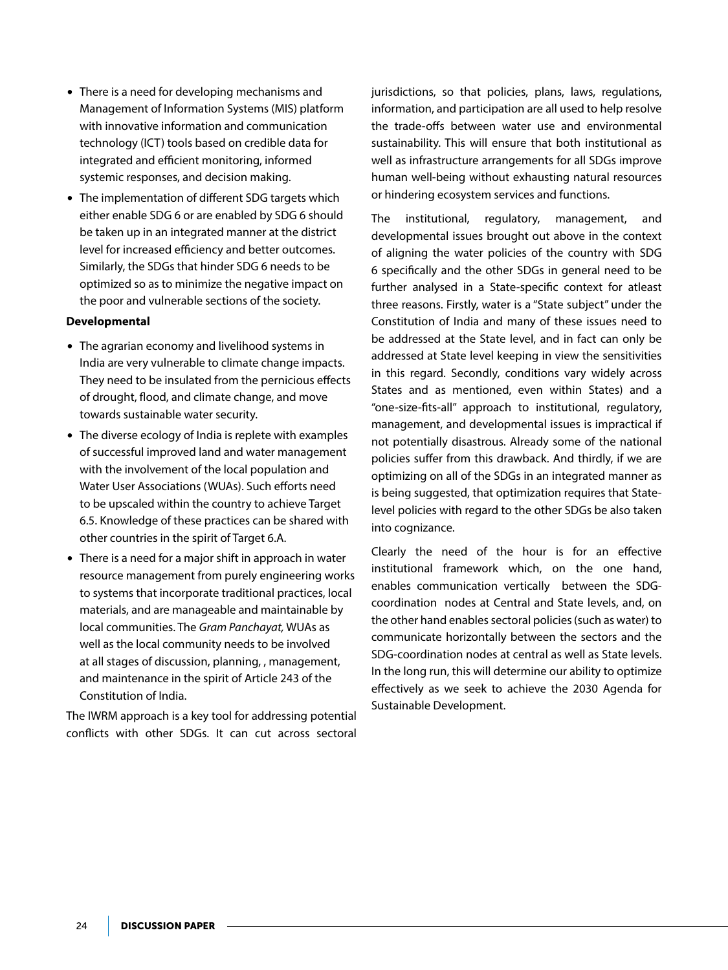- There is a need for developing mechanisms and Management of Information Systems (MIS) platform with innovative information and communication technology (ICT) tools based on credible data for integrated and efficient monitoring, informed systemic responses, and decision making.
- The implementation of different SDG targets which either enable SDG 6 or are enabled by SDG 6 should be taken up in an integrated manner at the district level for increased efficiency and better outcomes. Similarly, the SDGs that hinder SDG 6 needs to be optimized so as to minimize the negative impact on the poor and vulnerable sections of the society.

### **Developmental**

- The agrarian economy and livelihood systems in India are very vulnerable to climate change impacts. They need to be insulated from the pernicious effects of drought, flood, and climate change, and move towards sustainable water security.
- The diverse ecology of India is replete with examples of successful improved land and water management with the involvement of the local population and Water User Associations (WUAs). Such efforts need to be upscaled within the country to achieve Target 6.5. Knowledge of these practices can be shared with other countries in the spirit of Target 6.A.
- $\bullet$  There is a need for a major shift in approach in water resource management from purely engineering works to systems that incorporate traditional practices, local materials, and are manageable and maintainable by local communities. The *Gram Panchayat,* WUAs as well as the local community needs to be involved at all stages of discussion, planning, , management, and maintenance in the spirit of Article 243 of the Constitution of India.

The IWRM approach is a key tool for addressing potential conflicts with other SDGs. It can cut across sectoral jurisdictions, so that policies, plans, laws, regulations, information, and participation are all used to help resolve the trade-offs between water use and environmental sustainability. This will ensure that both institutional as well as infrastructure arrangements for all SDGs improve human well-being without exhausting natural resources or hindering ecosystem services and functions.

The institutional, regulatory, management, and developmental issues brought out above in the context of aligning the water policies of the country with SDG 6 specifically and the other SDGs in general need to be further analysed in a State-specific context for atleast three reasons. Firstly, water is a "State subject" under the Constitution of India and many of these issues need to be addressed at the State level, and in fact can only be addressed at State level keeping in view the sensitivities in this regard. Secondly, conditions vary widely across States and as mentioned, even within States) and a "one-size-fits-all" approach to institutional, regulatory, management, and developmental issues is impractical if not potentially disastrous. Already some of the national policies suffer from this drawback. And thirdly, if we are optimizing on all of the SDGs in an integrated manner as is being suggested, that optimization requires that Statelevel policies with regard to the other SDGs be also taken into cognizance.

Clearly the need of the hour is for an effective institutional framework which, on the one hand, enables communication vertically between the SDGcoordination nodes at Central and State levels, and, on the other hand enables sectoral policies (such as water) to communicate horizontally between the sectors and the SDG-coordination nodes at central as well as State levels. In the long run, this will determine our ability to optimize effectively as we seek to achieve the 2030 Agenda for Sustainable Development.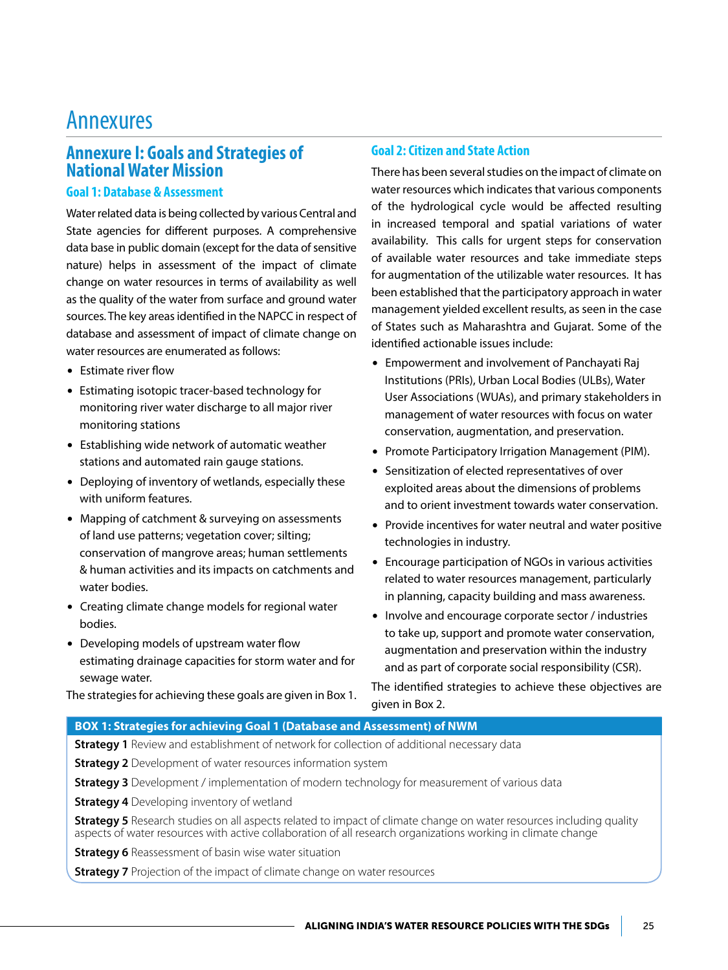## Annexures

## **Annexure I: Goals and Strategies of National Water Mission**

## **Goal 1: Database & Assessment**

Water related data is being collected by various Central and State agencies for different purposes. A comprehensive data base in public domain (except for the data of sensitive nature) helps in assessment of the impact of climate change on water resources in terms of availability as well as the quality of the water from surface and ground water sources. The key areas identified in the NAPCC in respect of database and assessment of impact of climate change on water resources are enumerated as follows:

- $\bullet$  Estimate river flow
- Estimating isotopic tracer-based technology for monitoring river water discharge to all major river monitoring stations
- $\bullet$  Establishing wide network of automatic weather stations and automated rain gauge stations.
- Deploying of inventory of wetlands, especially these with uniform features.
- Mapping of catchment & surveying on assessments of land use patterns; vegetation cover; silting; conservation of mangrove areas; human settlements & human activities and its impacts on catchments and water bodies.
- Creating climate change models for regional water bodies.
- Developing models of upstream water flow estimating drainage capacities for storm water and for sewage water.

The strategies for achieving these goals are given in Box 1.

## **Goal 2: Citizen and State Action**

There has been several studies on the impact of climate on water resources which indicates that various components of the hydrological cycle would be affected resulting in increased temporal and spatial variations of water availability. This calls for urgent steps for conservation of available water resources and take immediate steps for augmentation of the utilizable water resources. It has been established that the participatory approach in water management yielded excellent results, as seen in the case of States such as Maharashtra and Gujarat. Some of the identified actionable issues include:

- Empowerment and involvement of Panchayati Raj Institutions (PRIs), Urban Local Bodies (ULBs), Water User Associations (WUAs), and primary stakeholders in management of water resources with focus on water conservation, augmentation, and preservation.
- Promote Participatory Irrigation Management (PIM).
- Sensitization of elected representatives of over exploited areas about the dimensions of problems and to orient investment towards water conservation.
- Provide incentives for water neutral and water positive technologies in industry.
- Encourage participation of NGOs in various activities related to water resources management, particularly in planning, capacity building and mass awareness.
- Involve and encourage corporate sector / industries to take up, support and promote water conservation, augmentation and preservation within the industry and as part of corporate social responsibility (CSR).

The identified strategies to achieve these objectives are given in Box 2.

## **BOX 1: Strategies for achieving Goal 1 (Database and Assessment) of NWM**

**Strategy 1** Review and establishment of network for collection of additional necessary data

**Strategy 2** Development of water resources information system

**Strategy 3** Development / implementation of modern technology for measurement of various data

**Strategy 4** Developing inventory of wetland

**Strategy 5** Research studies on all aspects related to impact of climate change on water resources including quality aspects of water resources with active collaboration of all research organizations working in climate change

**Strategy 6** Reassessment of basin wise water situation

**Strategy 7** Projection of the impact of climate change on water resources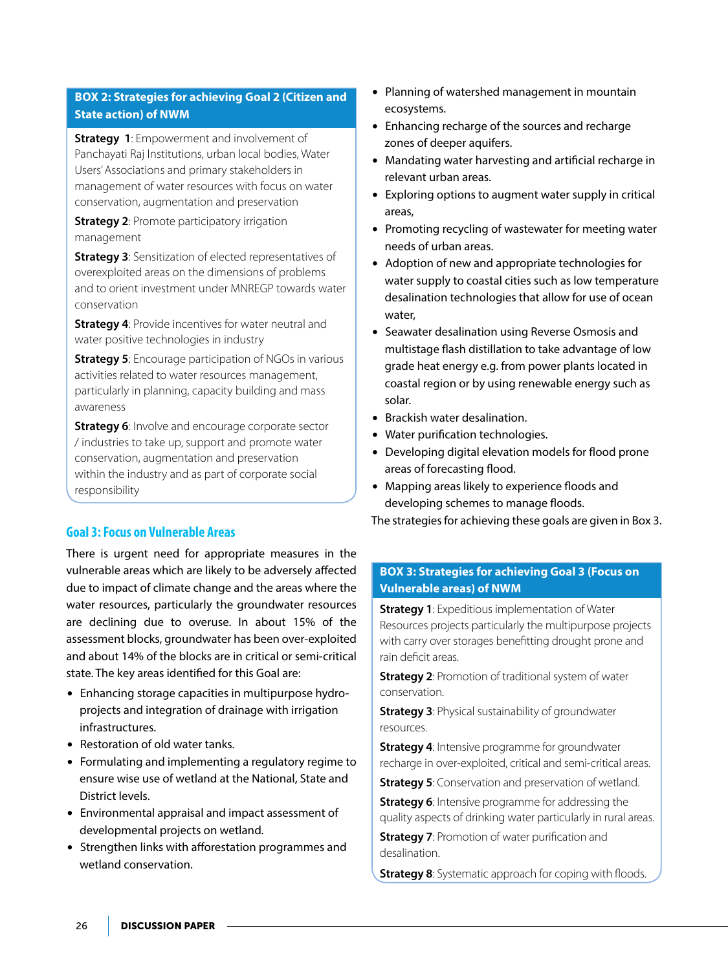## **BOX 2: Strategies for achieving Goal 2 (Citizen and State action) of NWM**

**Strategy 1:** Empowerment and involvement of Panchayati Raj Institutions, urban local bodies, Water Users' Associations and primary stakeholders in management of water resources with focus on water conservation, augmentation and preservation

**Strategy 2: Promote participatory irrigation** management

**Strategy 3**: Sensitization of elected representatives of overexploited areas on the dimensions of problems and to orient investment under MNREGP towards water conservation

**Strategy 4: Provide incentives for water neutral and** water positive technologies in industry

**Strategy 5:** Encourage participation of NGOs in various activities related to water resources management, particularly in planning, capacity building and mass awareness

**Strategy 6:** Involve and encourage corporate sector / industries to take up, support and promote water conservation, augmentation and preservation within the industry and as part of corporate social responsibility

## **Goal 3: Focus on Vulnerable Areas**

There is urgent need for appropriate measures in the vulnerable areas which are likely to be adversely affected due to impact of climate change and the areas where the water resources, particularly the groundwater resources are declining due to overuse. In about 15% of the assessment blocks, groundwater has been over-exploited and about 14% of the blocks are in critical or semi-critical state. The key areas identified for this Goal are:

- Enhancing storage capacities in multipurpose hydroprojects and integration of drainage with irrigation infrastructures.
- Restoration of old water tanks.
- Formulating and implementing a regulatory regime to ensure wise use of wetland at the National, State and District levels.
- Environmental appraisal and impact assessment of developmental projects on wetland.
- Strengthen links with afforestation programmes and wetland conservation.
- $\bullet$  Planning of watershed management in mountain ecosystems.
- Enhancing recharge of the sources and recharge zones of deeper aquifers.
- Mandating water harvesting and artificial recharge in relevant urban areas.
- $\bullet$  Exploring options to augment water supply in critical areas,
- Promoting recycling of wastewater for meeting water needs of urban areas.
- Adoption of new and appropriate technologies for water supply to coastal cities such as low temperature desalination technologies that allow for use of ocean water,
- Seawater desalination using Reverse Osmosis and multistage flash distillation to take advantage of low grade heat energy e.g. from power plants located in coastal region or by using renewable energy such as solar.
- Brackish water desalination.
- Water purification technologies.
- Developing digital elevation models for flood prone areas of forecasting flood.
- Mapping areas likely to experience floods and developing schemes to manage floods.

The strategies for achieving these goals are given in Box 3.

## **BOX 3: Strategies for achieving Goal 3 (Focus on Vulnerable areas) of NWM**

**Strategy 1**: Expeditious implementation of Water Resources projects particularly the multipurpose projects with carry over storages benefitting drought prone and rain deficit areas.

**Strategy 2: Promotion of traditional system of water** conservation.

**Strategy 3: Physical sustainability of groundwater** resources.

**Strategy 4:** Intensive programme for groundwater recharge in over-exploited, critical and semi-critical areas.

**Strategy 5**: Conservation and preservation of wetland.

**Strategy 6:** Intensive programme for addressing the quality aspects of drinking water particularly in rural areas.

**Strategy 7: Promotion of water purification and** desalination.

**Strategy 8:** Systematic approach for coping with floods.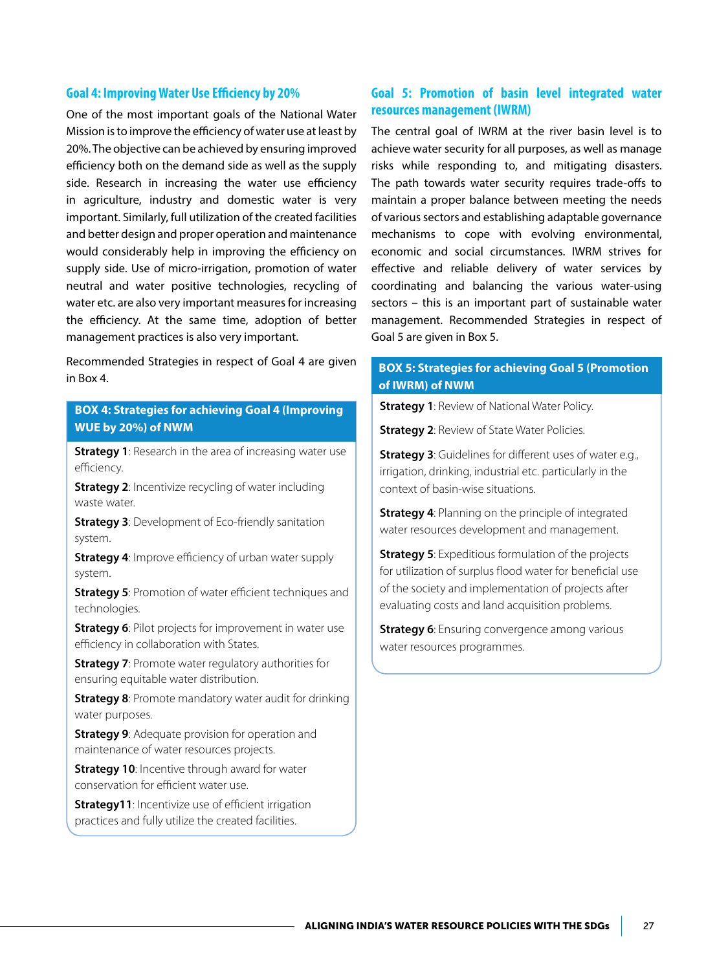#### **Goal 4: Improving Water Use Efficiency by 20%**

One of the most important goals of the National Water Mission is to improve the efficiency of water use at least by 20%. The objective can be achieved by ensuring improved efficiency both on the demand side as well as the supply side. Research in increasing the water use efficiency in agriculture, industry and domestic water is very important. Similarly, full utilization of the created facilities and better design and proper operation and maintenance would considerably help in improving the efficiency on supply side. Use of micro-irrigation, promotion of water neutral and water positive technologies, recycling of water etc. are also very important measures for increasing the efficiency. At the same time, adoption of better management practices is also very important.

Recommended Strategies in respect of Goal 4 are given in Box 4.

## **BOX 4: Strategies for achieving Goal 4 (Improving WUE by 20%) of NWM**

**Strategy 1:** Research in the area of increasing water use efficiency.

**Strategy 2:** Incentivize recycling of water including waste water.

**Strategy 3: Development of Eco-friendly sanitation** system.

**Strategy 4:** Improve efficiency of urban water supply system.

**Strategy 5**: Promotion of water efficient techniques and technologies.

**Strategy 6**: Pilot projects for improvement in water use efficiency in collaboration with States.

**Strategy 7: Promote water regulatory authorities for** ensuring equitable water distribution.

**Strategy 8:** Promote mandatory water audit for drinking water purposes.

**Strategy 9**: Adequate provision for operation and maintenance of water resources projects.

**Strategy 10:** Incentive through award for water conservation for efficient water use.

**Strategy11:** Incentivize use of efficient irrigation practices and fully utilize the created facilities.

## **Goal 5: Promotion of basin level integrated water resources management (IWRM)**

The central goal of IWRM at the river basin level is to achieve water security for all purposes, as well as manage risks while responding to, and mitigating disasters. The path towards water security requires trade-offs to maintain a proper balance between meeting the needs of various sectors and establishing adaptable governance mechanisms to cope with evolving environmental, economic and social circumstances. IWRM strives for effective and reliable delivery of water services by coordinating and balancing the various water-using sectors – this is an important part of sustainable water management. Recommended Strategies in respect of Goal 5 are given in Box 5.

## **BOX 5: Strategies for achieving Goal 5 (Promotion of IWRM) of NWM**

**Strategy 1: Review of National Water Policy.** 

**Strategy 2: Review of State Water Policies.** 

**Strategy 3**: Guidelines for different uses of water e.g., irrigation, drinking, industrial etc. particularly in the context of basin-wise situations.

**Strategy 4: Planning on the principle of integrated** water resources development and management.

**Strategy 5**: Expeditious formulation of the projects for utilization of surplus flood water for beneficial use of the society and implementation of projects after evaluating costs and land acquisition problems.

**Strategy 6:** Ensuring convergence among various water resources programmes.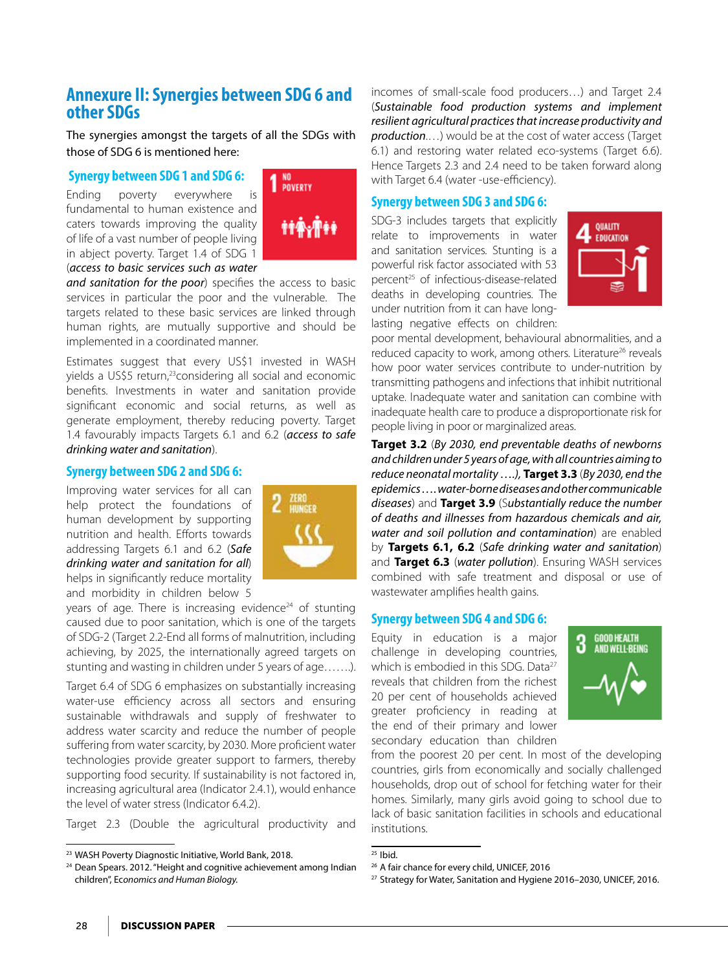## **Annexure II: Synergies between SDG 6 and other SDGs**

The synergies amongst the targets of all the SDGs with those of SDG 6 is mentioned here:

### **Synergy between SDG 1 and SDG 6:**

Ending poverty everywhere is fundamental to human existence and caters towards improving the quality of life of a vast number of people living in abject poverty. Target 1.4 of SDG 1 (*access to basic services such as water* 



*and sanitation for the poor*) specifies the access to basic services in particular the poor and the vulnerable. The targets related to these basic services are linked through human rights, are mutually supportive and should be implemented in a coordinated manner.

Estimates suggest that every US\$1 invested in WASH yields a US\$5 return,<sup>23</sup>considering all social and economic benefits. Investments in water and sanitation provide significant economic and social returns, as well as generate employment, thereby reducing poverty. Target 1.4 favourably impacts Targets 6.1 and 6.2 (*access to safe drinking water and sanitation*).

## **Synergy between SDG 2 and SDG 6:**

Improving water services for all can help protect the foundations of human development by supporting nutrition and health. Efforts towards addressing Targets 6.1 and 6.2 (*Safe drinking water and sanitation for all*) helps in significantly reduce mortality and morbidity in children below 5



years of age. There is increasing evidence<sup>24</sup> of stunting caused due to poor sanitation, which is one of the targets of SDG-2 (Target 2.2-End all forms of malnutrition, including achieving, by 2025, the internationally agreed targets on stunting and wasting in children under 5 years of age…….).

Target 6.4 of SDG 6 emphasizes on substantially increasing water-use efficiency across all sectors and ensuring sustainable withdrawals and supply of freshwater to address water scarcity and reduce the number of people suffering from water scarcity, by 2030. More proficient water technologies provide greater support to farmers, thereby supporting food security. If sustainability is not factored in, increasing agricultural area (Indicator 2.4.1), would enhance the level of water stress (Indicator 6.4.2).

Target 2.3 (Double the agricultural productivity and

incomes of small-scale food producers…) and Target 2.4 (*Sustainable food production systems and implement resilient agricultural practices that increase productivity and production*.…) would be at the cost of water access (Target 6.1) and restoring water related eco-systems (Target 6.6). Hence Targets 2.3 and 2.4 need to be taken forward along with Target 6.4 (water -use-efficiency).

## **Synergy between SDG 3 and SDG 6:**

SDG-3 includes targets that explicitly relate to improvements in water and sanitation services. Stunting is a powerful risk factor associated with 53 percent<sup>25</sup> of infectious-disease-related deaths in developing countries. The under nutrition from it can have longlasting negative effects on children:



poor mental development, behavioural abnormalities, and a reduced capacity to work, among others. Literature<sup>26</sup> reveals how poor water services contribute to under-nutrition by transmitting pathogens and infections that inhibit nutritional uptake. Inadequate water and sanitation can combine with inadequate health care to produce a disproportionate risk for people living in poor or marginalized areas.

**Target 3.2** (*By 2030, end preventable deaths of newborns and children under 5 years of age, with all countries aiming to reduce neonatal mortality ….),* **Target 3.3** (*By 2030, end the epidemics …. water-borne diseases and other communicable diseases*) and **Target 3.9** (S*ubstantially reduce the number of deaths and illnesses from hazardous chemicals and air, water and soil pollution and contamination*) are enabled by **Targets 6.1, 6.2** (*Safe drinking water and sanitation*) and **Target 6.3** (*water pollution*). Ensuring WASH services combined with safe treatment and disposal or use of wastewater amplifies health gains.

## **Synergy between SDG 4 and SDG 6:**

Equity in education is a major challenge in developing countries, which is embodied in this SDG. Data<sup>27</sup> reveals that children from the richest 20 per cent of households achieved greater proficiency in reading at the end of their primary and lower secondary education than children



from the poorest 20 per cent. In most of the developing countries, girls from economically and socially challenged households, drop out of school for fetching water for their homes. Similarly, many girls avoid going to school due to lack of basic sanitation facilities in schools and educational institutions.

<sup>23</sup> WASH Poverty Diagnostic Initiative, World Bank, 2018.

<sup>&</sup>lt;sup>24</sup> Dean Spears. 2012. "Height and cognitive achievement among Indian children", Ec*onomics and Human Biology.*

 $25$  Ibid.

<sup>26</sup> A fair chance for every child, UNICEF, 2016

<sup>&</sup>lt;sup>27</sup> Strategy for Water, Sanitation and Hygiene 2016-2030, UNICEF, 2016.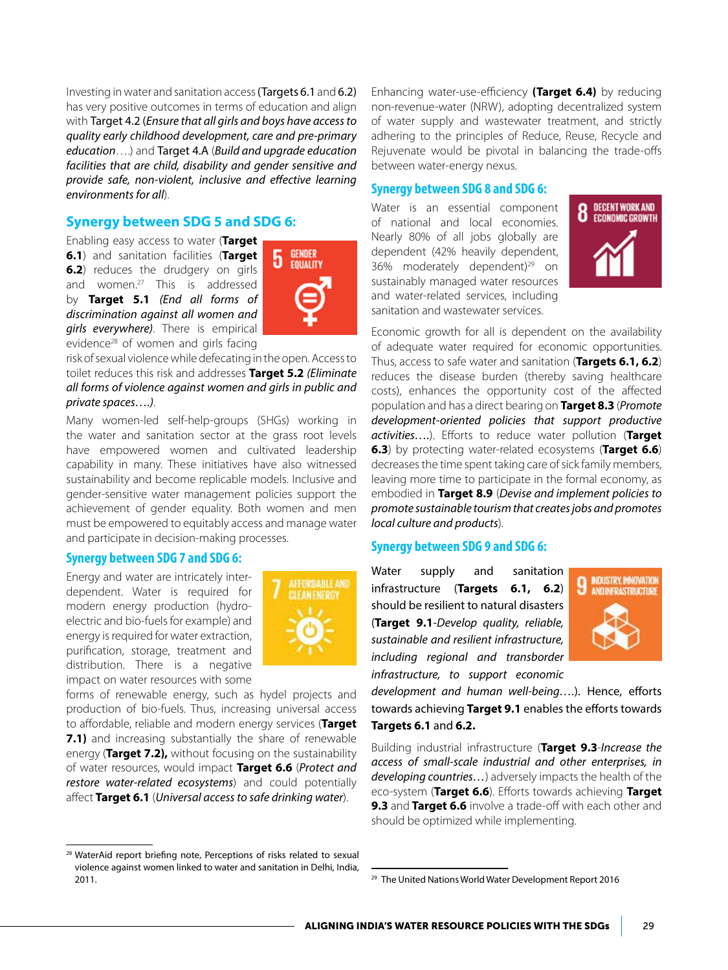Investing in water and sanitation access(Targets 6.1 and 6.2) has very positive outcomes in terms of education and align with Target 4.2 (*Ensure that all girls and boys have access to quality early childhood development, care and pre-primary education*….) and Target 4.A (*Build and upgrade education facilities that are child, disability and gender sensitive and provide safe, non-violent, inclusive and effective learning environments for all*).

## **Synergy between SDG 5 and SDG 6:**

Enabling easy access to water (**Target 6.1**) and sanitation facilities (**Target 6.2**) reduces the drudgery on girls and women.27 This is addressed by **Target 5.1** *(End all forms of discrimination against all women and girls everywhere)*. There is empirical evidence<sup>28</sup> of women and girls facing



risk of sexual violence while defecating in the open. Access to toilet reduces this risk and addresses **Target 5.2** *(Eliminate all forms of violence against women and girls in public and private spaces….)*.

Many women-led self-help-groups (SHGs) working in the water and sanitation sector at the grass root levels have empowered women and cultivated leadership capability in many. These initiatives have also witnessed sustainability and become replicable models. Inclusive and gender-sensitive water management policies support the achievement of gender equality. Both women and men must be empowered to equitably access and manage water and participate in decision-making processes.

#### **Synergy between SDG 7 and SDG 6:**

Energy and water are intricately interdependent. Water is required for modern energy production (hydroelectric and bio-fuels for example) and energy is required for water extraction, purification, storage, treatment and distribution. There is a negative impact on water resources with some



forms of renewable energy, such as hydel projects and production of bio-fuels. Thus, increasing universal access to affordable, reliable and modern energy services (**Target 7.1)** and increasing substantially the share of renewable energy (**Target 7.2),** without focusing on the sustainability of water resources, would impact **Target 6.6** (*Protect and restore water-related ecosystems*) and could potentially affect **Target 6.1** (*Universal access to safe drinking water*).

Enhancing water-use-efficiency **(Target 6.4)** by reducing non-revenue-water (NRW), adopting decentralized system of water supply and wastewater treatment, and strictly adhering to the principles of Reduce, Reuse, Recycle and Rejuvenate would be pivotal in balancing the trade-offs between water-energy nexus.

### **Synergy between SDG 8 and SDG 6:**

Water is an essential component of national and local economies. Nearly 80% of all jobs globally are dependent (42% heavily dependent, 36% moderately dependent) $^{29}$  on sustainably managed water resources and water-related services, including sanitation and wastewater services.



Economic growth for all is dependent on the availability of adequate water required for economic opportunities. Thus, access to safe water and sanitation (**Targets 6.1, 6.2**) reduces the disease burden (thereby saving healthcare costs), enhances the opportunity cost of the affected population and has a direct bearing on **Target 8.3** (*Promote development-oriented policies that support productive activities….*). Efforts to reduce water pollution (**Target 6.3**) by protecting water-related ecosystems (**Target 6.6**) decreases the time spent taking care of sick family members, leaving more time to participate in the formal economy, as embodied in **Target 8.9** (*Devise and implement policies to promote sustainable tourism that creates jobs and promotes local culture and products*).

### **Synergy between SDG 9 and SDG 6:**

Water supply and sanitation infrastructure (**Targets 6.1, 6.2**) should be resilient to natural disasters (**Target 9.1**-*Develop quality, reliable, sustainable and resilient infrastructure, including regional and transborder infrastructure, to support economic* 



*development and human well-being….*). Hence, efforts towards achieving **Target 9.1** enables the efforts towards **Targets 6.1** and **6.2.**

Building industrial infrastructure (**Target 9.3**-*Increase the access of small-scale industrial and other enterprises, in developing countries…*) adversely impacts the health of the eco-system (**Target 6.6**). Efforts towards achieving **Target 9.3** and Target 6.6 involve a trade-off with each other and should be optimized while implementing.

<sup>&</sup>lt;sup>28</sup> WaterAid report briefing note, Perceptions of risks related to sexual violence against women linked to water and sanitation in Delhi, India, 2011.

<sup>29</sup> The United Nations World Water Development Report 2016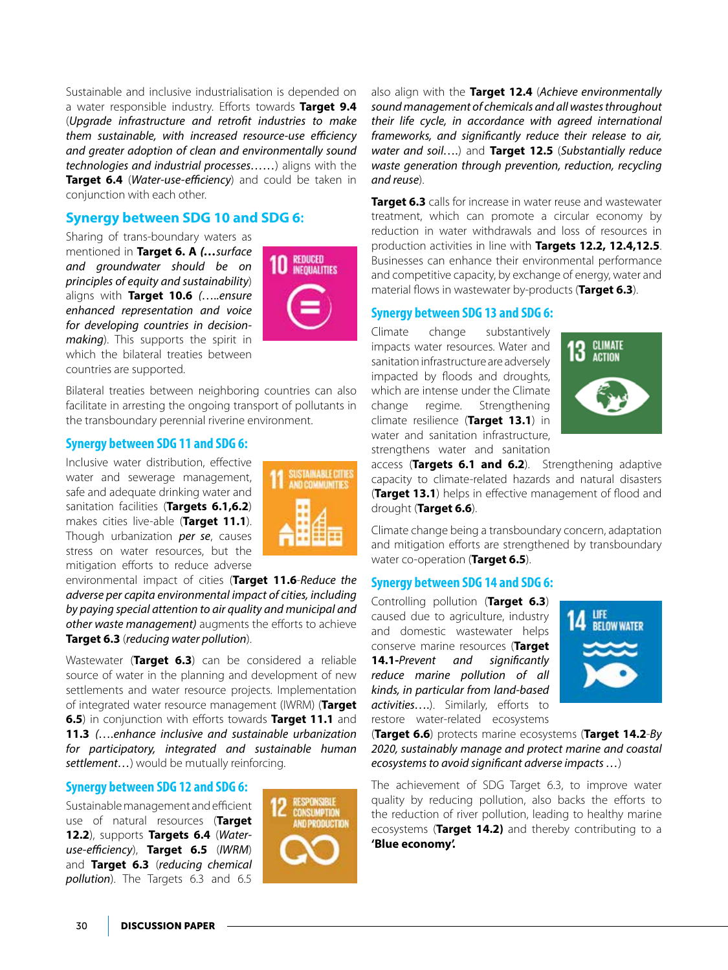Sustainable and inclusive industrialisation is depended on a water responsible industry. Efforts towards **Target 9.4** (*Upgrade infrastructure and retrofit industries to make them sustainable, with increased resource-use efficiency and greater adoption of clean and environmentally sound technologies and industrial processes……*) aligns with the **Target 6.4** (*Water-use-efficiency*) and could be taken in conjunction with each other.

## **Synergy between SDG 10 and SDG 6:**

Sharing of trans-boundary waters as mentioned in **Target 6. A** *(…surface and groundwater should be on principles of equity and sustainability*) aligns with **Target 10.6** *(…..ensure enhanced representation and voice for developing countries in decisionmaking*). This supports the spirit in which the bilateral treaties between countries are supported.



Bilateral treaties between neighboring countries can also facilitate in arresting the ongoing transport of pollutants in the transboundary perennial riverine environment.

## **Synergy between SDG 11 and SDG 6:**

Inclusive water distribution, effective water and sewerage management, safe and adequate drinking water and sanitation facilities (**Targets 6.1,6.2**) makes cities live-able (**Target 11.1**). Though urbanization *per se*, causes stress on water resources, but the mitigation efforts to reduce adverse



environmental impact of cities (**Target 11.6**-*Reduce the adverse per capita environmental impact of cities, including by paying special attention to air quality and municipal and other waste management)* augments the efforts to achieve **Target 6.3** (*reducing water pollution*).

Wastewater (**Target 6.3**) can be considered a reliable source of water in the planning and development of new settlements and water resource projects. Implementation of integrated water resource management (IWRM) (**Target 6.5**) in conjunction with efforts towards **Target 11.1** and **11.3** *(….enhance inclusive and sustainable urbanization for participatory, integrated and sustainable human settlement…*) would be mutually reinforcing.

## **Synergy between SDG 12 and SDG 6:**

Sustainable management and efficient use of natural resources (**Target 12.2**), supports **Targets 6.4** (*Wateruse-efficiency*), **Target 6.5** (*IWRM*) and **Target 6.3** (*reducing chemical pollution*). The Targets 6.3 and 6.5



also align with the **Target 12.4** (*Achieve environmentally sound management of chemicals and all wastes throughout their life cycle, in accordance with agreed international frameworks, and significantly reduce their release to air, water and soil….*) and **Target 12.5** (*Substantially reduce waste generation through prevention, reduction, recycling and reuse*).

**Target 6.3** calls for increase in water reuse and wastewater treatment, which can promote a circular economy by reduction in water withdrawals and loss of resources in production activities in line with **Targets 12.2, 12.4,12.5**. Businesses can enhance their environmental performance and competitive capacity, by exchange of energy, water and material flows in wastewater by-products (**Target 6.3**).

## **Synergy between SDG 13 and SDG 6:**

Climate change substantively impacts water resources. Water and sanitation infrastructure are adversely impacted by floods and droughts, which are intense under the Climate change regime. Strengthening climate resilience (**Target 13.1**) in water and sanitation infrastructure, strengthens water and sanitation



access (**Targets 6.1 and 6.2**). Strengthening adaptive capacity to climate-related hazards and natural disasters (**Target 13.1**) helps in effective management of flood and drought (**Target 6.6**).

Climate change being a transboundary concern, adaptation and mitigation efforts are strengthened by transboundary water co-operation (**Target 6.5**).

### **Synergy between SDG 14 and SDG 6:**

Controlling pollution (**Target 6.3**) caused due to agriculture, industry and domestic wastewater helps conserve marine resources (**Target 14.1-***Prevent and significantly reduce marine pollution of all kinds, in particular from land-based activities….*). Similarly, efforts to restore water-related ecosystems



(**Target 6.6**) protects marine ecosystems (**Target 14.2**-*By 2020, sustainably manage and protect marine and coastal ecosystems to avoid significant adverse impacts …*)

The achievement of SDG Target 6.3, to improve water quality by reducing pollution, also backs the efforts to the reduction of river pollution, leading to healthy marine ecosystems (**Target 14.2)** and thereby contributing to a **'Blue economy'.**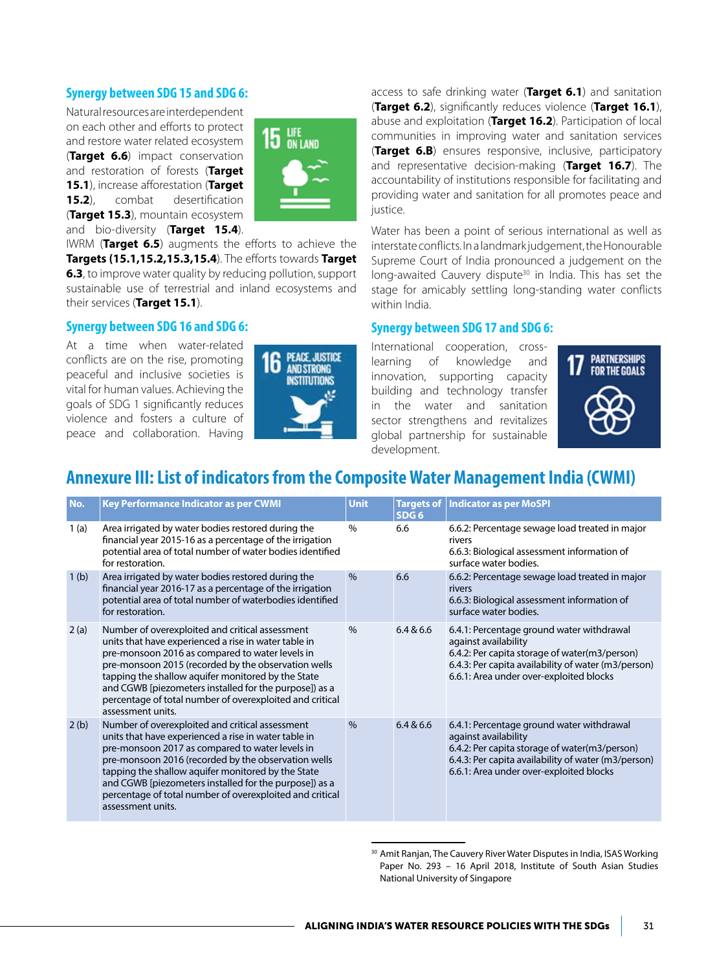## **Synergy between SDG 15 and SDG 6:**

Natural resources are interdependent on each other and efforts to protect and restore water related ecosystem (**Target 6.6**) impact conservation and restoration of forests (**Target 15.1**), increase afforestation (**Target 15.2**), combat desertification (**Target 15.3**), mountain ecosystem and bio-diversity (**Target 15.4**).



IWRM (**Target 6.5**) augments the efforts to achieve the **Targets (15.1,15.2,15.3,15.4**). The efforts towards **Target 6.3**, to improve water quality by reducing pollution, support sustainable use of terrestrial and inland ecosystems and their services (**Target 15.1**).

### **Synergy between SDG 16 and SDG 6:**

At a time when water-related conflicts are on the rise, promoting peaceful and inclusive societies is vital for human values. Achieving the goals of SDG 1 significantly reduces violence and fosters a culture of peace and collaboration. Having



access to safe drinking water (**Target 6.1**) and sanitation (**Target 6.2**), significantly reduces violence (**Target 16.1**), abuse and exploitation (**Target 16.2**). Participation of local communities in improving water and sanitation services (**Target 6.B**) ensures responsive, inclusive, participatory and representative decision-making (**Target 16.7**). The accountability of institutions responsible for facilitating and providing water and sanitation for all promotes peace and justice.

Water has been a point of serious international as well as interstate conflicts. In a landmark judgement, the Honourable Supreme Court of India pronounced a judgement on the long-awaited Cauvery dispute<sup>30</sup> in India. This has set the stage for amicably settling long-standing water conflicts within India.

### **Synergy between SDG 17 and SDG 6:**

International cooperation, crosslearning of knowledge and innovation, supporting capacity building and technology transfer in the water and sanitation sector strengthens and revitalizes global partnership for sustainable development.



## **Annexure III: List of indicators from the Composite Water Management India (CWMI)**

| No.              | Key Performance Indicator as per CWMI                                                                                                                                                                                                                                                                                                                                                                              | <b>Unit</b>   | <b>Targets of</b><br>SDG <sub>6</sub> | <b>Indicator as per MoSPI</b>                                                                                                                                                                                        |
|------------------|--------------------------------------------------------------------------------------------------------------------------------------------------------------------------------------------------------------------------------------------------------------------------------------------------------------------------------------------------------------------------------------------------------------------|---------------|---------------------------------------|----------------------------------------------------------------------------------------------------------------------------------------------------------------------------------------------------------------------|
| 1(a)             | Area irrigated by water bodies restored during the<br>financial year 2015-16 as a percentage of the irrigation<br>potential area of total number of water bodies identified<br>for restoration.                                                                                                                                                                                                                    | $\%$          | 6.6                                   | 6.6.2: Percentage sewage load treated in major<br>rivers<br>6.6.3: Biological assessment information of<br>surface water bodies.                                                                                     |
| 1 <sub>(b)</sub> | Area irrigated by water bodies restored during the<br>financial year 2016-17 as a percentage of the irrigation<br>potential area of total number of waterbodies identified<br>for restoration.                                                                                                                                                                                                                     | $\frac{0}{0}$ | 6.6                                   | 6.6.2: Percentage sewage load treated in major<br>rivers<br>6.6.3: Biological assessment information of<br>surface water bodies.                                                                                     |
| 2(a)             | Number of overexploited and critical assessment<br>units that have experienced a rise in water table in<br>pre-monsoon 2016 as compared to water levels in<br>pre-monsoon 2015 (recorded by the observation wells<br>tapping the shallow aquifer monitored by the State<br>and CGWB [piezometers installed for the purpose]) as a<br>percentage of total number of overexploited and critical<br>assessment units. | $\%$          | 6.4 & 6.6                             | 6.4.1: Percentage ground water withdrawal<br>against availability<br>6.4.2: Per capita storage of water(m3/person)<br>6.4.3: Per capita availability of water (m3/person)<br>6.6.1: Area under over-exploited blocks |
| 2(b)             | Number of overexploited and critical assessment<br>units that have experienced a rise in water table in<br>pre-monsoon 2017 as compared to water levels in<br>pre-monsoon 2016 (recorded by the observation wells<br>tapping the shallow aquifer monitored by the State<br>and CGWB [piezometers installed for the purpose]) as a<br>percentage of total number of overexploited and critical<br>assessment units. | $\%$          | 6.4 & 6.6                             | 6.4.1: Percentage ground water withdrawal<br>against availability<br>6.4.2: Per capita storage of water(m3/person)<br>6.4.3: Per capita availability of water (m3/person)<br>6.6.1: Area under over-exploited blocks |

<sup>&</sup>lt;sup>30</sup> Amit Ranjan, The Cauvery River Water Disputes in India, ISAS Working Paper No. 293 – 16 April 2018, Institute of South Asian Studies National University of Singapore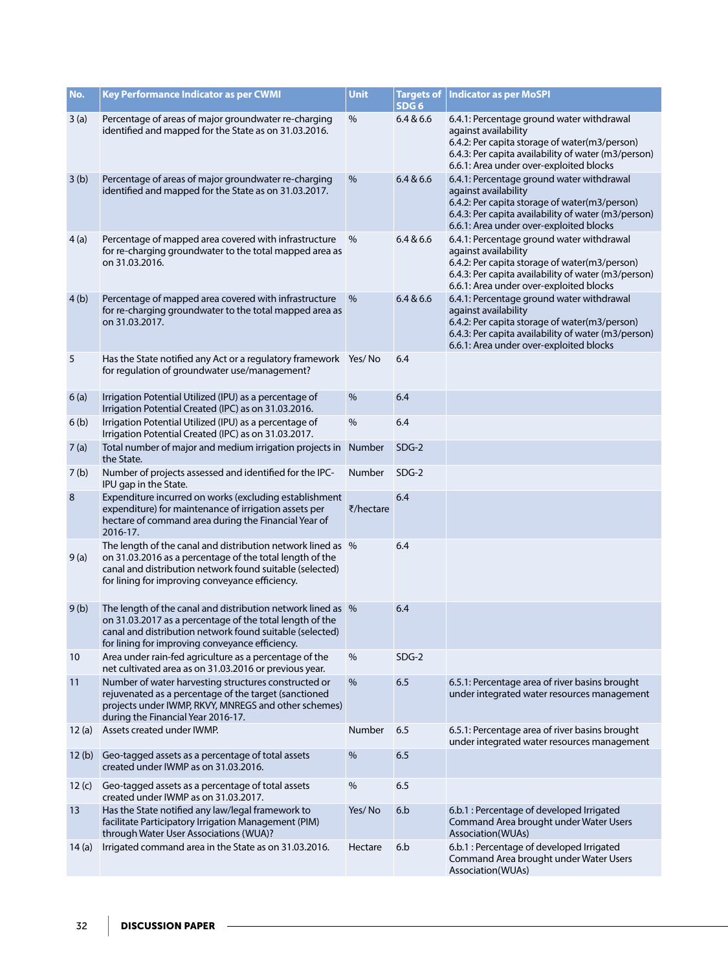| No.              | Key Performance Indicator as per CWMI                                                                                                                                                                                                   | <b>Unit</b> | SDG <sub>6</sub> | Targets of   Indicator as per MoSPI                                                                                                                                                                                  |
|------------------|-----------------------------------------------------------------------------------------------------------------------------------------------------------------------------------------------------------------------------------------|-------------|------------------|----------------------------------------------------------------------------------------------------------------------------------------------------------------------------------------------------------------------|
| 3(a)             | Percentage of areas of major groundwater re-charging<br>identified and mapped for the State as on 31.03.2016.                                                                                                                           | $\%$        | 6.4 & 6.6        | 6.4.1: Percentage ground water withdrawal<br>against availability<br>6.4.2: Per capita storage of water(m3/person)<br>6.4.3: Per capita availability of water (m3/person)<br>6.6.1: Area under over-exploited blocks |
| 3(b)             | Percentage of areas of major groundwater re-charging<br>identified and mapped for the State as on 31.03.2017.                                                                                                                           | %           | 6.4 & 6.6        | 6.4.1: Percentage ground water withdrawal<br>against availability<br>6.4.2: Per capita storage of water(m3/person)<br>6.4.3: Per capita availability of water (m3/person)<br>6.6.1: Area under over-exploited blocks |
| 4(a)             | Percentage of mapped area covered with infrastructure<br>for re-charging groundwater to the total mapped area as<br>on 31.03.2016.                                                                                                      | $\%$        | 6.4 & 6.6        | 6.4.1: Percentage ground water withdrawal<br>against availability<br>6.4.2: Per capita storage of water(m3/person)<br>6.4.3: Per capita availability of water (m3/person)<br>6.6.1: Area under over-exploited blocks |
| 4(b)             | Percentage of mapped area covered with infrastructure<br>for re-charging groundwater to the total mapped area as<br>on 31.03.2017.                                                                                                      | $\%$        | 6.4 & 6.6        | 6.4.1: Percentage ground water withdrawal<br>against availability<br>6.4.2: Per capita storage of water(m3/person)<br>6.4.3: Per capita availability of water (m3/person)<br>6.6.1: Area under over-exploited blocks |
| 5                | Has the State notified any Act or a regulatory framework Yes/ No<br>for regulation of groundwater use/management?                                                                                                                       |             | 6.4              |                                                                                                                                                                                                                      |
| 6(a)             | Irrigation Potential Utilized (IPU) as a percentage of<br>Irrigation Potential Created (IPC) as on 31.03.2016.                                                                                                                          | $\%$        | 6.4              |                                                                                                                                                                                                                      |
| 6(b)             | Irrigation Potential Utilized (IPU) as a percentage of<br>Irrigation Potential Created (IPC) as on 31.03.2017.                                                                                                                          | %           | 6.4              |                                                                                                                                                                                                                      |
| 7(a)             | Total number of major and medium irrigation projects in<br>the State.                                                                                                                                                                   | Number      | $SDG-2$          |                                                                                                                                                                                                                      |
| 7 <sub>(b)</sub> | Number of projects assessed and identified for the IPC-<br>IPU gap in the State.                                                                                                                                                        | Number      | $SDG-2$          |                                                                                                                                                                                                                      |
| 8                | Expenditure incurred on works (excluding establishment<br>expenditure) for maintenance of irrigation assets per<br>hectare of command area during the Financial Year of<br>2016-17.                                                     | ₹/hectare   | 6.4              |                                                                                                                                                                                                                      |
| 9(a)             | The length of the canal and distribution network lined as %<br>on 31.03.2016 as a percentage of the total length of the<br>canal and distribution network found suitable (selected)<br>for lining for improving conveyance efficiency.  |             | 6.4              |                                                                                                                                                                                                                      |
| 9(b)             | The length of the canal and distribution network lined as \%<br>on 31.03.2017 as a percentage of the total length of the<br>canal and distribution network found suitable (selected)<br>for lining for improving conveyance efficiency. |             | 6.4              |                                                                                                                                                                                                                      |
| 10               | Area under rain-fed agriculture as a percentage of the<br>net cultivated area as on 31.03.2016 or previous year.                                                                                                                        | %           | $SDG-2$          |                                                                                                                                                                                                                      |
| 11               | Number of water harvesting structures constructed or<br>rejuvenated as a percentage of the target (sanctioned<br>projects under IWMP, RKVY, MNREGS and other schemes)<br>during the Financial Year 2016-17.                             | %           | 6.5              | 6.5.1: Percentage area of river basins brought<br>under integrated water resources management                                                                                                                        |
| 12(a)            | Assets created under IWMP.                                                                                                                                                                                                              | Number      | 6.5              | 6.5.1: Percentage area of river basins brought<br>under integrated water resources management                                                                                                                        |
| 12(b)            | Geo-tagged assets as a percentage of total assets<br>created under IWMP as on 31.03.2016.                                                                                                                                               | %           | 6.5              |                                                                                                                                                                                                                      |
| 12 $(c)$         | Geo-tagged assets as a percentage of total assets<br>created under IWMP as on 31.03.2017.                                                                                                                                               | %           | 6.5              |                                                                                                                                                                                                                      |
| 13               | Has the State notified any law/legal framework to<br>facilitate Participatory Irrigation Management (PIM)<br>through Water User Associations (WUA)?                                                                                     | Yes/No      | 6.b              | 6.b.1 : Percentage of developed Irrigated<br>Command Area brought under Water Users<br>Association(WUAs)                                                                                                             |
| 14(a)            | Irrigated command area in the State as on 31.03.2016.                                                                                                                                                                                   | Hectare     | 6.b              | 6.b.1 : Percentage of developed Irrigated<br>Command Area brought under Water Users<br>Association(WUAs)                                                                                                             |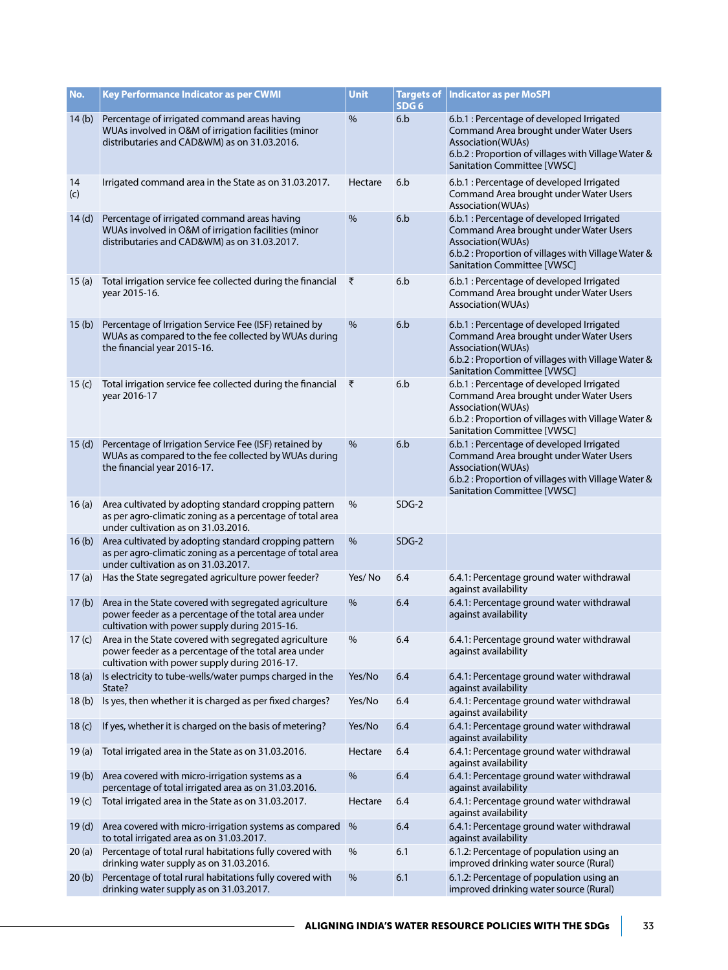| No.               | <b>Key Performance Indicator as per CWMI</b>                                                                                                                          | Unit    | SDG <sub>6</sub> | <b>Targets of   Indicator as per MoSPI</b>                                                                                                                                                      |
|-------------------|-----------------------------------------------------------------------------------------------------------------------------------------------------------------------|---------|------------------|-------------------------------------------------------------------------------------------------------------------------------------------------------------------------------------------------|
| 14(b)             | Percentage of irrigated command areas having<br>WUAs involved in O&M of irrigation facilities (minor<br>distributaries and CAD&WM) as on 31.03.2016.                  | %       | 6.b              | 6.b.1 : Percentage of developed Irrigated<br>Command Area brought under Water Users<br>Association(WUAs)<br>6.b.2 : Proportion of villages with Village Water &<br>Sanitation Committee [VWSC]  |
| 14<br>(c)         | Irrigated command area in the State as on 31.03.2017.                                                                                                                 | Hectare | 6.b              | 6.b.1 : Percentage of developed Irrigated<br>Command Area brought under Water Users<br>Association(WUAs)                                                                                        |
| 14(d)             | Percentage of irrigated command areas having<br>WUAs involved in O&M of irrigation facilities (minor<br>distributaries and CAD&WM) as on 31.03.2017.                  | %       | 6.b              | 6.b.1 : Percentage of developed Irrigated<br>Command Area brought under Water Users<br>Association(WUAs)<br>6.b.2 : Proportion of villages with Village Water &<br>Sanitation Committee [VWSC]  |
| 15(a)             | Total irrigation service fee collected during the financial<br>year 2015-16.                                                                                          | ₹       | 6.b              | 6.b.1 : Percentage of developed Irrigated<br>Command Area brought under Water Users<br>Association(WUAs)                                                                                        |
| 15(b)             | Percentage of Irrigation Service Fee (ISF) retained by<br>WUAs as compared to the fee collected by WUAs during<br>the financial year 2015-16.                         | %       | 6.b              | 6.b.1 : Percentage of developed Irrigated<br>Command Area brought under Water Users<br>Association(WUAs)<br>6.b.2 : Proportion of villages with Village Water &<br>Sanitation Committee [VWSC]  |
| 15(c)             | Total irrigation service fee collected during the financial<br>year 2016-17                                                                                           | ्ह      | 6.b              | 6.b.1 : Percentage of developed Irrigated<br>Command Area brought under Water Users<br>Association(WUAs)<br>6.b.2 : Proportion of villages with Village Water &<br>Sanitation Committee [VWSC]  |
| 15(d)             | Percentage of Irrigation Service Fee (ISF) retained by<br>WUAs as compared to the fee collected by WUAs during<br>the financial year 2016-17.                         | %       | 6.b              | 6.b.1 : Percentage of developed Irrigated<br>Command Area brought under Water Users<br>Association (WUAs)<br>6.b.2 : Proportion of villages with Village Water &<br>Sanitation Committee [VWSC] |
| 16(a)             | Area cultivated by adopting standard cropping pattern<br>as per agro-climatic zoning as a percentage of total area<br>under cultivation as on 31.03.2016.             | %       | $SDG-2$          |                                                                                                                                                                                                 |
| 16(b)             | Area cultivated by adopting standard cropping pattern<br>as per agro-climatic zoning as a percentage of total area<br>under cultivation as on 31.03.2017.             | %       | $SDG-2$          |                                                                                                                                                                                                 |
| 17(a)             | Has the State segregated agriculture power feeder?                                                                                                                    | Yes/No  | 6.4              | 6.4.1: Percentage ground water withdrawal<br>against availability                                                                                                                               |
|                   | 17 (b) Area in the State covered with segregated agriculture<br>power feeder as a percentage of the total area under<br>cultivation with power supply during 2015-16. | %       | 6.4              | 6.4.1: Percentage ground water withdrawal<br>against availability                                                                                                                               |
|                   | 17 (c) Area in the State covered with segregated agriculture<br>power feeder as a percentage of the total area under<br>cultivation with power supply during 2016-17. | $\%$    | 6.4              | 6.4.1: Percentage ground water withdrawal<br>against availability                                                                                                                               |
| 18(a)             | Is electricity to tube-wells/water pumps charged in the<br>State?                                                                                                     | Yes/No  | 6.4              | 6.4.1: Percentage ground water withdrawal<br>against availability                                                                                                                               |
| 18(b)             | Is yes, then whether it is charged as per fixed charges?                                                                                                              | Yes/No  | 6.4              | 6.4.1: Percentage ground water withdrawal<br>against availability                                                                                                                               |
| 18 <sub>(c)</sub> | If yes, whether it is charged on the basis of metering?                                                                                                               | Yes/No  | 6.4              | 6.4.1: Percentage ground water withdrawal<br>against availability                                                                                                                               |
| 19(a)             | Total irrigated area in the State as on 31.03.2016.                                                                                                                   | Hectare | 6.4              | 6.4.1: Percentage ground water withdrawal<br>against availability                                                                                                                               |
| 19(b)             | Area covered with micro-irrigation systems as a<br>percentage of total irrigated area as on 31.03.2016.                                                               | %       | 6.4              | 6.4.1: Percentage ground water withdrawal<br>against availability                                                                                                                               |
| 19 $(c)$          | Total irrigated area in the State as on 31.03.2017.                                                                                                                   | Hectare | 6.4              | 6.4.1: Percentage ground water withdrawal<br>against availability                                                                                                                               |
| 19(d)             | Area covered with micro-irrigation systems as compared<br>to total irrigated area as on 31.03.2017.                                                                   | %       | 6.4              | 6.4.1: Percentage ground water withdrawal<br>against availability                                                                                                                               |
| 20(a)             | Percentage of total rural habitations fully covered with<br>drinking water supply as on 31.03.2016.                                                                   | %       | 6.1              | 6.1.2: Percentage of population using an<br>improved drinking water source (Rural)                                                                                                              |
| 20(b)             | Percentage of total rural habitations fully covered with<br>drinking water supply as on 31.03.2017.                                                                   | %       | 6.1              | 6.1.2: Percentage of population using an<br>improved drinking water source (Rural)                                                                                                              |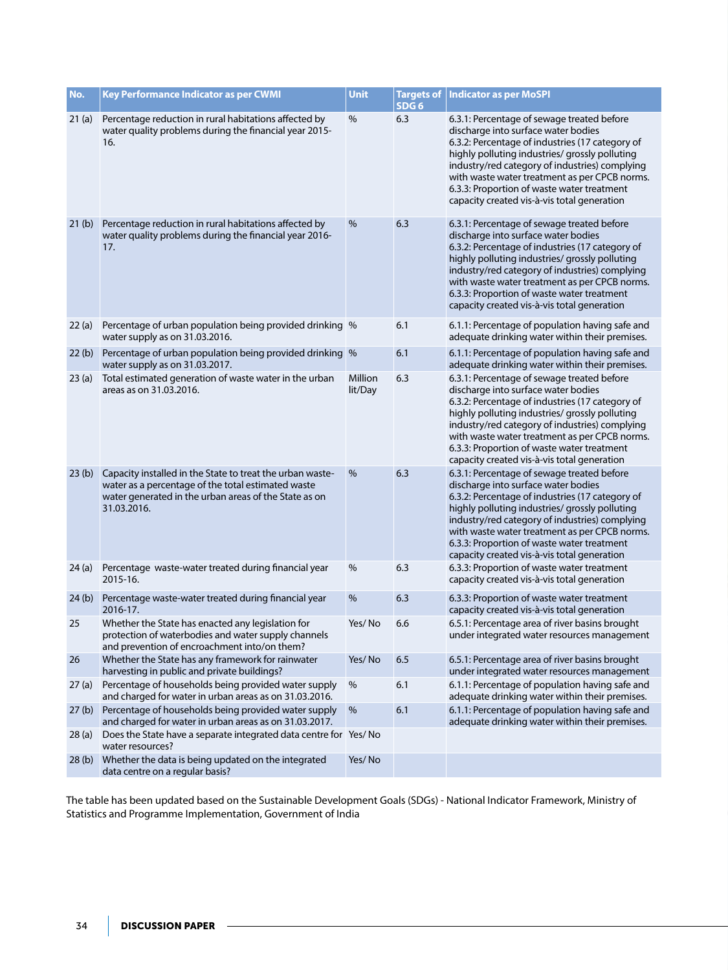| No.               | Key Performance Indicator as per CWMI                                                                                                                                                   | <b>Unit</b>        | SDG <sub>6</sub> | Targets of   Indicator as per MoSPI                                                                                                                                                                                                                                                                                                                                                    |
|-------------------|-----------------------------------------------------------------------------------------------------------------------------------------------------------------------------------------|--------------------|------------------|----------------------------------------------------------------------------------------------------------------------------------------------------------------------------------------------------------------------------------------------------------------------------------------------------------------------------------------------------------------------------------------|
| 21(a)             | Percentage reduction in rural habitations affected by<br>water quality problems during the financial year 2015-<br>16.                                                                  | $\%$               | 6.3              | 6.3.1: Percentage of sewage treated before<br>discharge into surface water bodies<br>6.3.2: Percentage of industries (17 category of<br>highly polluting industries/ grossly polluting<br>industry/red category of industries) complying<br>with waste water treatment as per CPCB norms.<br>6.3.3: Proportion of waste water treatment<br>capacity created vis-à-vis total generation |
| 21 <sub>(b)</sub> | Percentage reduction in rural habitations affected by<br>water quality problems during the financial year 2016-<br>17.                                                                  | %                  | 6.3              | 6.3.1: Percentage of sewage treated before<br>discharge into surface water bodies<br>6.3.2: Percentage of industries (17 category of<br>highly polluting industries/ grossly polluting<br>industry/red category of industries) complying<br>with waste water treatment as per CPCB norms.<br>6.3.3: Proportion of waste water treatment<br>capacity created vis-à-vis total generation |
| 22(a)             | Percentage of urban population being provided drinking %<br>water supply as on 31.03.2016.                                                                                              |                    | 6.1              | 6.1.1: Percentage of population having safe and<br>adequate drinking water within their premises.                                                                                                                                                                                                                                                                                      |
| 22(b)             | Percentage of urban population being provided drinking %<br>water supply as on 31.03.2017.                                                                                              |                    | 6.1              | 6.1.1: Percentage of population having safe and<br>adequate drinking water within their premises.                                                                                                                                                                                                                                                                                      |
| 23(a)             | Total estimated generation of waste water in the urban<br>areas as on 31.03.2016.                                                                                                       | Million<br>lit/Day | 6.3              | 6.3.1: Percentage of sewage treated before<br>discharge into surface water bodies<br>6.3.2: Percentage of industries (17 category of<br>highly polluting industries/ grossly polluting<br>industry/red category of industries) complying<br>with waste water treatment as per CPCB norms.<br>6.3.3: Proportion of waste water treatment<br>capacity created vis-à-vis total generation |
| 23(b)             | Capacity installed in the State to treat the urban waste-<br>water as a percentage of the total estimated waste<br>water generated in the urban areas of the State as on<br>31.03.2016. | %                  | 6.3              | 6.3.1: Percentage of sewage treated before<br>discharge into surface water bodies<br>6.3.2: Percentage of industries (17 category of<br>highly polluting industries/ grossly polluting<br>industry/red category of industries) complying<br>with waste water treatment as per CPCB norms.<br>6.3.3: Proportion of waste water treatment<br>capacity created vis-à-vis total generation |
| 24(a)             | Percentage waste-water treated during financial year<br>2015-16.                                                                                                                        | %                  | 6.3              | 6.3.3: Proportion of waste water treatment<br>capacity created vis-à-vis total generation                                                                                                                                                                                                                                                                                              |
| 24(b)             | Percentage waste-water treated during financial year<br>2016-17.                                                                                                                        | %                  | 6.3              | 6.3.3: Proportion of waste water treatment<br>capacity created vis-à-vis total generation                                                                                                                                                                                                                                                                                              |
| 25                | Whether the State has enacted any legislation for<br>protection of waterbodies and water supply channels<br>and prevention of encroachment into/on them?                                | Yes/No             | 6.6              | 6.5.1: Percentage area of river basins brought<br>under integrated water resources management                                                                                                                                                                                                                                                                                          |
| 26                | Whether the State has any framework for rainwater<br>harvesting in public and private buildings?                                                                                        | Yes/No             | 6.5              | 6.5.1: Percentage area of river basins brought<br>under integrated water resources management                                                                                                                                                                                                                                                                                          |
| 27(a)             | Percentage of households being provided water supply<br>and charged for water in urban areas as on 31.03.2016.                                                                          | %                  | 6.1              | 6.1.1: Percentage of population having safe and<br>adequate drinking water within their premises.                                                                                                                                                                                                                                                                                      |
| 27(b)             | Percentage of households being provided water supply<br>and charged for water in urban areas as on 31.03.2017.                                                                          | %                  | 6.1              | 6.1.1: Percentage of population having safe and<br>adequate drinking water within their premises.                                                                                                                                                                                                                                                                                      |
| 28(a)             | Does the State have a separate integrated data centre for Yes/ No<br>water resources?                                                                                                   |                    |                  |                                                                                                                                                                                                                                                                                                                                                                                        |
| 28(b)             | Whether the data is being updated on the integrated<br>data centre on a regular basis?                                                                                                  | Yes/No             |                  |                                                                                                                                                                                                                                                                                                                                                                                        |

The table has been updated based on the Sustainable Development Goals (SDGs) - National Indicator Framework, Ministry of Statistics and Programme Implementation, Government of India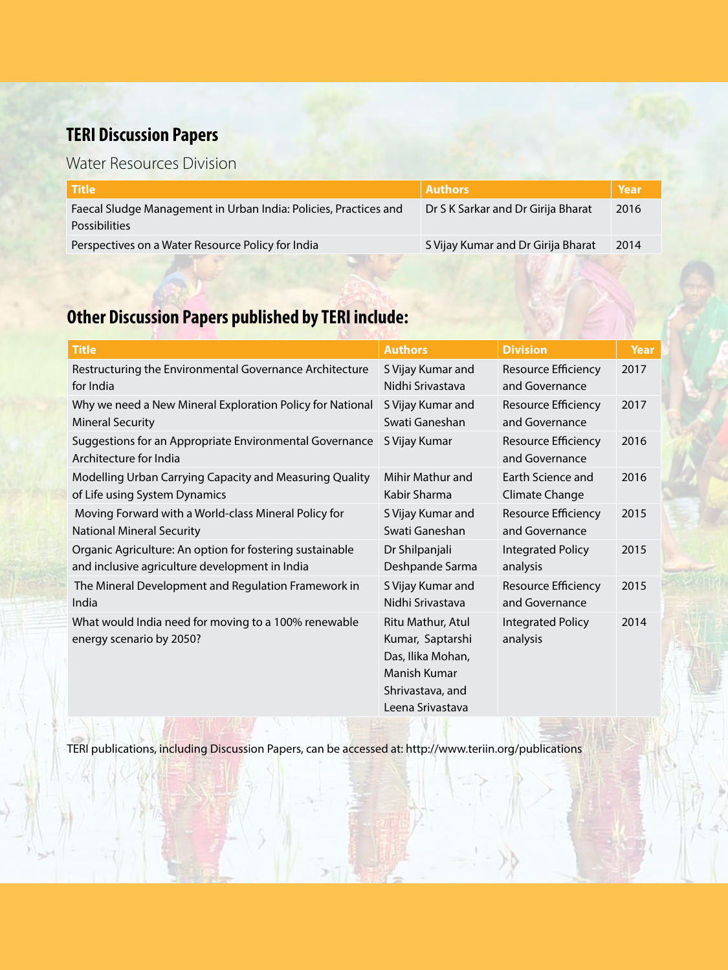## **TERI Discussion Papers**

## Water Resources Division

| <b>Authors</b>                     | Year |
|------------------------------------|------|
| Dr S K Sarkar and Dr Girija Bharat | 2016 |
|                                    |      |
| S Vijay Kumar and Dr Girija Bharat | 2014 |
|                                    |      |

## **Other Discussion Papers published by TERI include:**

| <b>Title</b>                                                                      | <b>Authors</b>                                                                                                     | <b>Division</b>                              | Year |
|-----------------------------------------------------------------------------------|--------------------------------------------------------------------------------------------------------------------|----------------------------------------------|------|
| Restructuring the Environmental Governance Architecture                           | S Vijay Kumar and                                                                                                  | Resource Efficiency                          | 2017 |
| for India                                                                         | Nidhi Srivastava                                                                                                   | and Governance                               |      |
| Why we need a New Mineral Exploration Policy for National                         | S Vijay Kumar and                                                                                                  | Resource Efficiency                          | 2017 |
| <b>Mineral Security</b>                                                           | Swati Ganeshan                                                                                                     | and Governance                               |      |
| Suggestions for an Appropriate Environmental Governance<br>Architecture for India | S Vijay Kumar                                                                                                      | <b>Resource Efficiency</b><br>and Governance | 2016 |
| Modelling Urban Carrying Capacity and Measuring Quality                           | Mihir Mathur and                                                                                                   | Earth Science and                            | 2016 |
| of Life using System Dynamics                                                     | Kabir Sharma                                                                                                       | Climate Change                               |      |
| Moving Forward with a World-class Mineral Policy for                              | S Vijay Kumar and                                                                                                  | Resource Efficiency                          | 2015 |
| <b>National Mineral Security</b>                                                  | Swati Ganeshan                                                                                                     | and Governance                               |      |
| Organic Agriculture: An option for fostering sustainable                          | Dr Shilpanjali                                                                                                     | <b>Integrated Policy</b>                     | 2015 |
| and inclusive agriculture development in India                                    | Deshpande Sarma                                                                                                    | analysis                                     |      |
| The Mineral Development and Regulation Framework in                               | S Vijay Kumar and                                                                                                  | <b>Resource Efficiency</b>                   | 2015 |
| India                                                                             | Nidhi Srivastava                                                                                                   | and Governance                               |      |
| What would India need for moving to a 100% renewable<br>energy scenario by 2050?  | Ritu Mathur, Atul<br>Kumar, Saptarshi<br>Das, Ilika Mohan,<br>Manish Kumar<br>Shrivastava, and<br>Leena Srivastava | <b>Integrated Policy</b><br>analysis         | 2014 |

TERI publications, including Discussion Papers, can be accessed at: http://www.teriin.org/publications